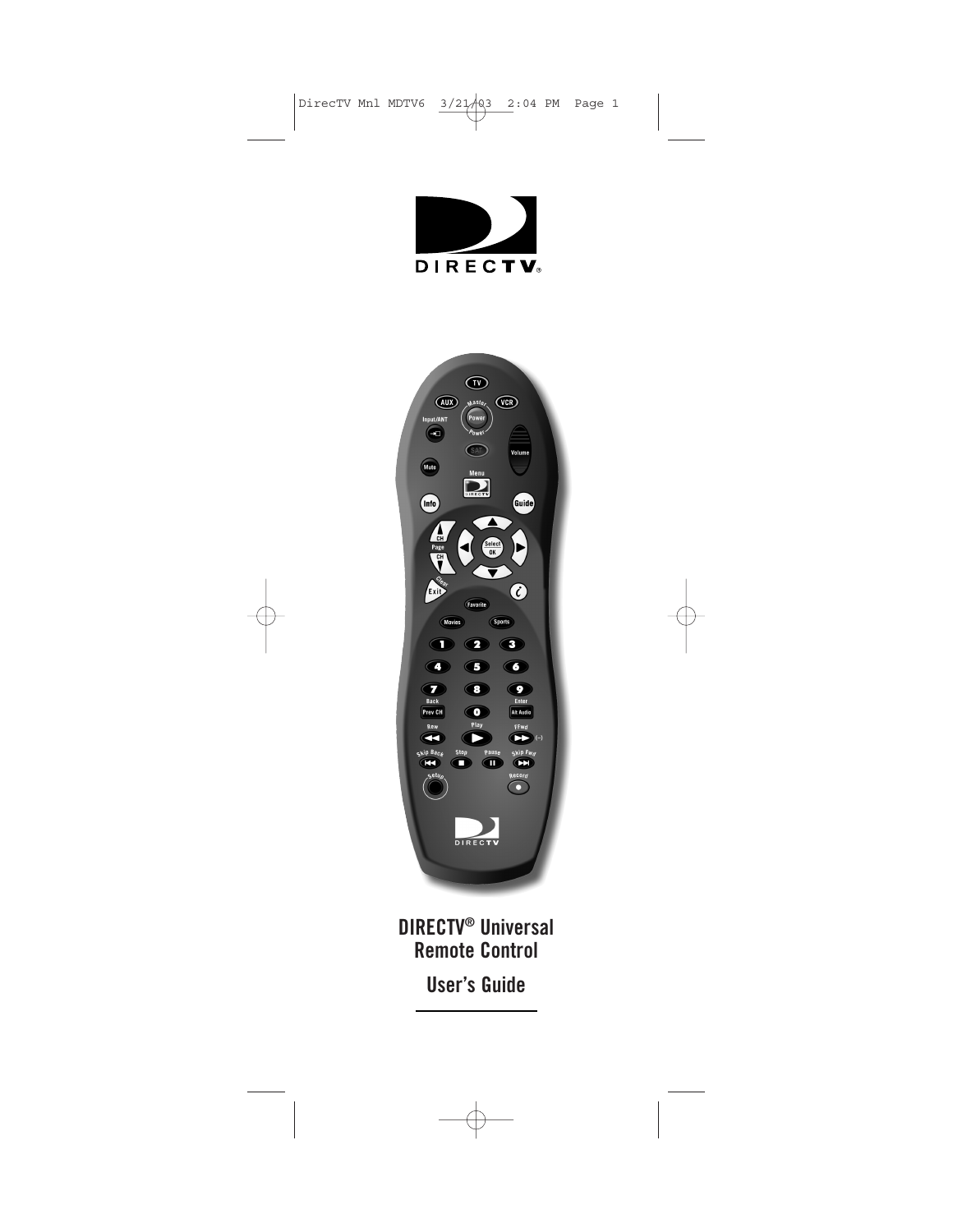



**DIRECTV® Universal Remote Control User's Guide**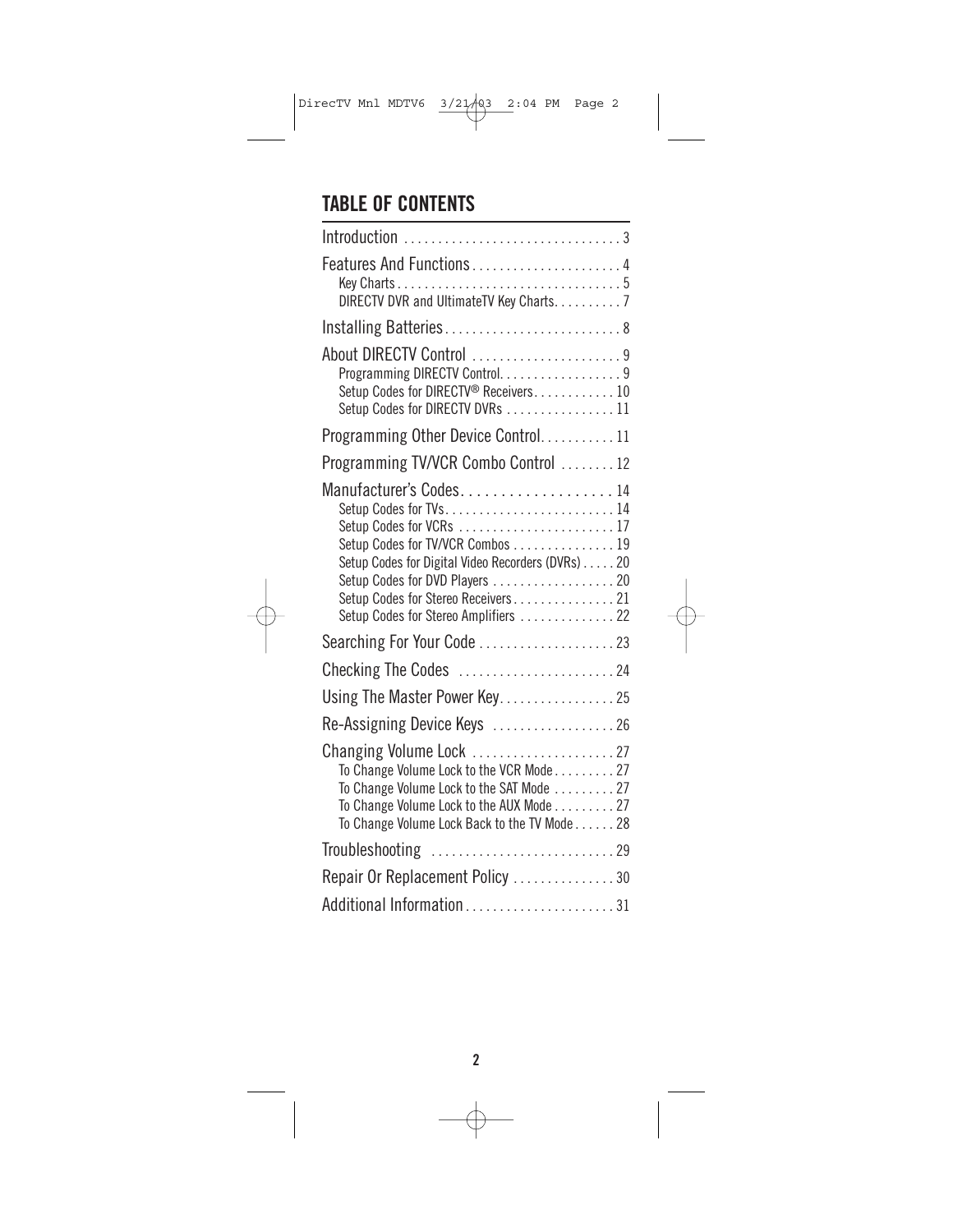### **TABLE OF CONTENTS**

| Features And Functions4<br>DIRECTV DVR and UltimateTV Key Charts. 7                                                                                                                                                    |  |
|------------------------------------------------------------------------------------------------------------------------------------------------------------------------------------------------------------------------|--|
| Installing Batteries 8                                                                                                                                                                                                 |  |
|                                                                                                                                                                                                                        |  |
| About DIRECTV Control 9<br>Programming DIRECTV Control. 9<br>Setup Codes for DIRECTV® Receivers 10<br>Setup Codes for DIRECTV DVRs  11                                                                                 |  |
| Programming Other Device Control11                                                                                                                                                                                     |  |
| Programming TV/VCR Combo Control  12                                                                                                                                                                                   |  |
| Manufacturer's Codes14<br>Setup Codes for TVs14<br>Setup Codes for TV/VCR Combos 19<br>Setup Codes for Digital Video Recorders (DVRs) 20<br>Setup Codes for Stereo Receivers21<br>Setup Codes for Stereo Amplifiers 22 |  |
|                                                                                                                                                                                                                        |  |
| Checking The Codes $\dots\dots\dots\dots\dots\dots\dots$ 24                                                                                                                                                            |  |
| Using The Master Power Key. 25                                                                                                                                                                                         |  |
| Re-Assigning Device Keys 26                                                                                                                                                                                            |  |
| To Change Volume Lock to the VCR Mode 27<br>To Change Volume Lock to the SAT Mode 27<br>To Change Volume Lock to the AUX Mode 27<br>To Change Volume Lock Back to the TV Mode 28                                       |  |
|                                                                                                                                                                                                                        |  |
| Repair Or Replacement Policy 30                                                                                                                                                                                        |  |
| Additional Information31                                                                                                                                                                                               |  |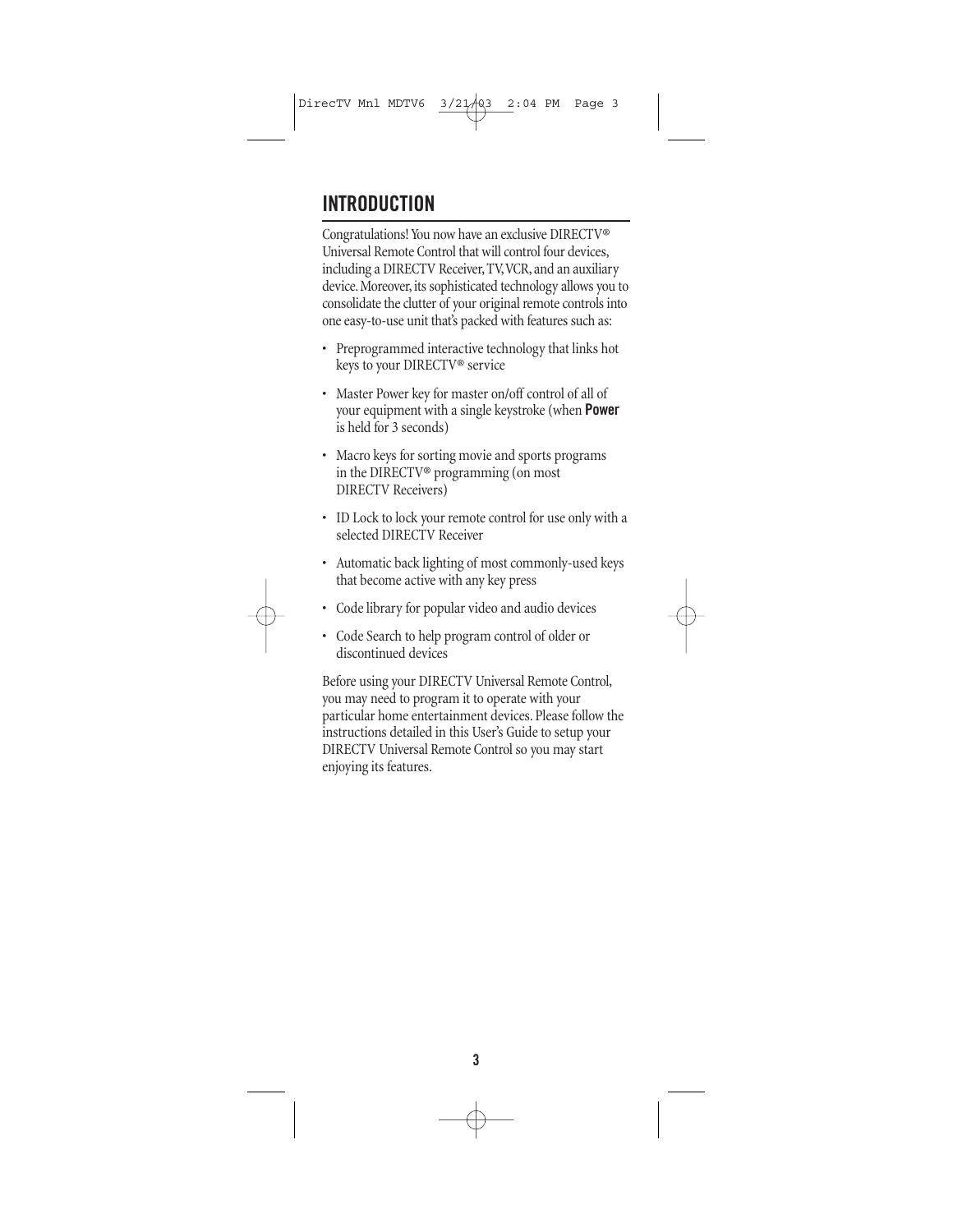# **INTRODUCTION**

Congratulations! You now have an exclusive DIRECTV® Universal Remote Control that will control four devices, including a DIRECTV Receiver, TV,VCR, and an auxiliary device. Moreover, its sophisticated technology allows you to consolidate the clutter of your original remote controls into one easy-to-use unit that's packed with features such as:

- Preprogrammed interactive technology that links hot keys to your DIRECTV® service
- Master Power key for master on/off control of all of your equipment with a single keystroke (when **Power** is held for 3 seconds)
- Macro keys for sorting movie and sports programs in the DIRECTV® programming (on most DIRECTV Receivers)
- ID Lock to lock your remote control for use only with a selected DIRECTV Receiver
- Automatic back lighting of most commonly-used keys that become active with any key press
- Code library for popular video and audio devices
- Code Search to help program control of older or discontinued devices

Before using your DIRECTV Universal Remote Control, you may need to program it to operate with your particular home entertainment devices. Please follow the instructions detailed in this User's Guide to setup your DIRECTV Universal Remote Control so you may start enjoying its features.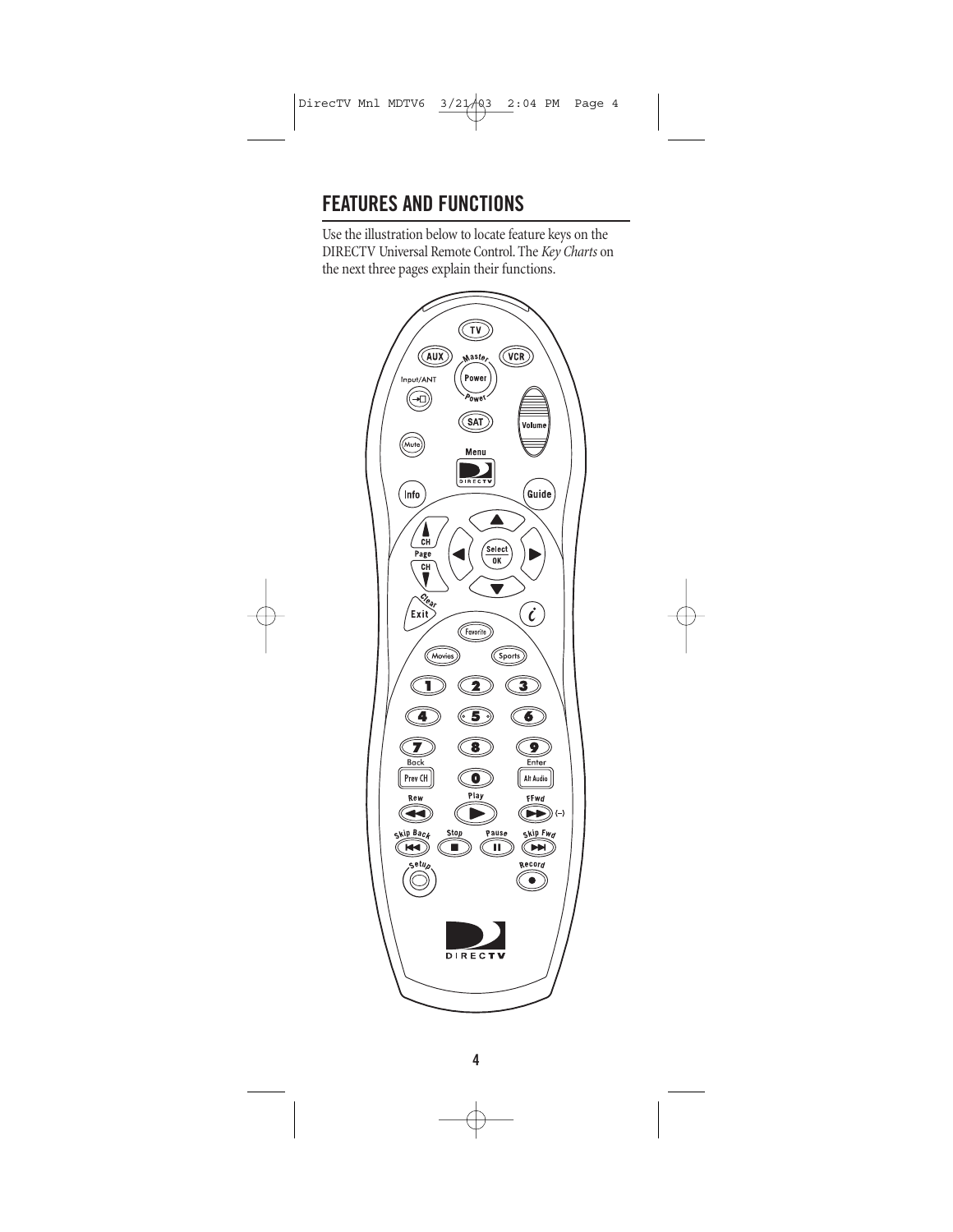# **FEATURES AND FUNCTIONS**

Use the illustration below to locate feature keys on the DIRECTV Universal Remote Control. The *Key Charts* on the next three pages explain their functions.

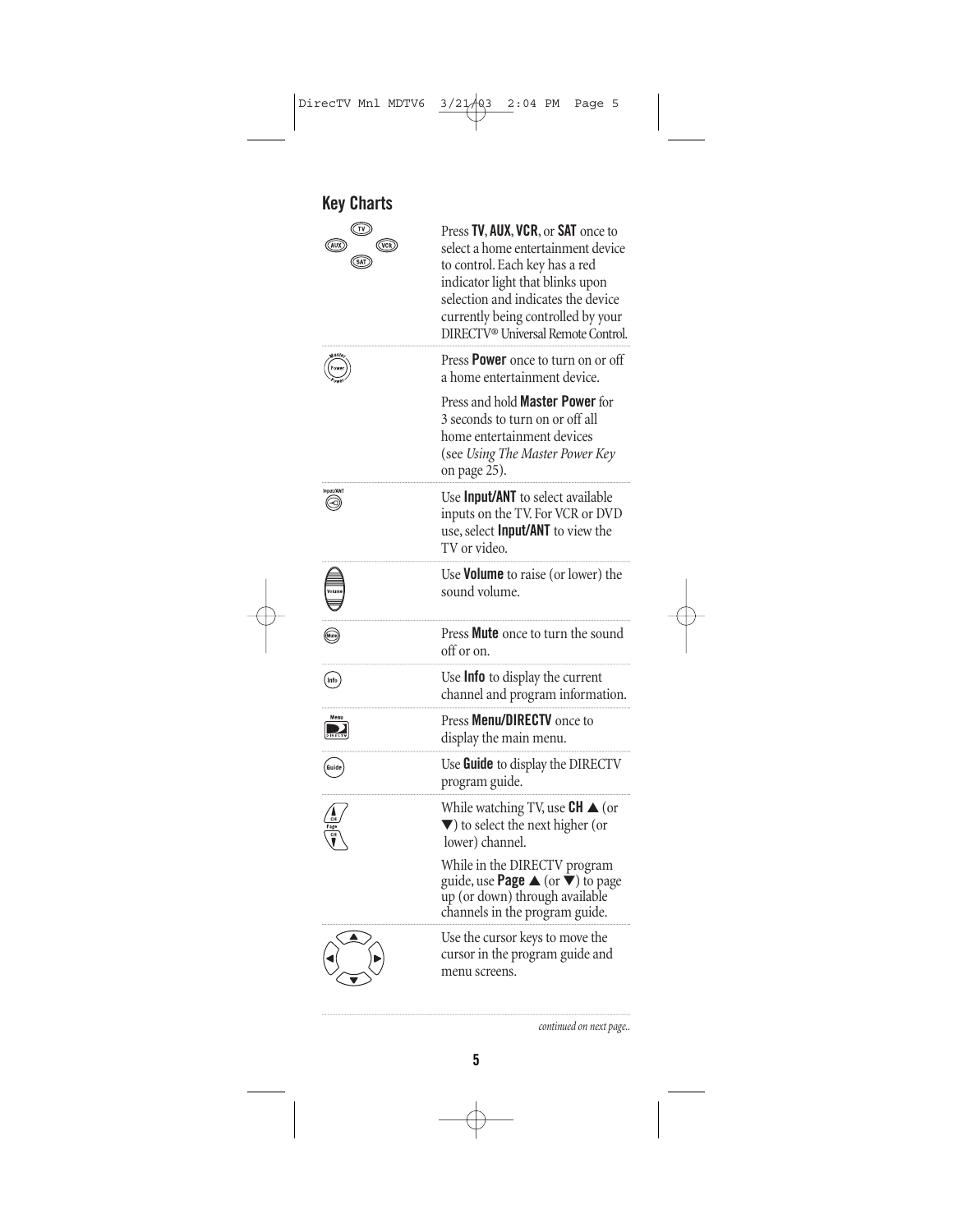| <b>Key Charts</b>                            |                                                                                                                                                                                                                                                                              |
|----------------------------------------------|------------------------------------------------------------------------------------------------------------------------------------------------------------------------------------------------------------------------------------------------------------------------------|
| $(\overline{\mathsf{vcr}})$<br>(AUX)<br>(SAT | Press TV, AUX, VCR, or SAT once to<br>select a home entertainment device<br>to control. Each key has a red<br>indicator light that blinks upon<br>selection and indicates the device<br>currently being controlled by your<br>DIRECTV <sup>®</sup> Universal Remote Control. |
|                                              | Press <b>Power</b> once to turn on or off<br>a home entertainment device.                                                                                                                                                                                                    |
|                                              | Press and hold <b>Master Power</b> for<br>3 seconds to turn on or off all<br>home entertainment devices<br>(see Using The Master Power Key<br>on page 25).                                                                                                                   |
| ᠗                                            | Use Input/ANT to select available<br>inputs on the TV. For VCR or DVD<br>use, select <b>Input/ANT</b> to view the<br>TV or video.                                                                                                                                            |
|                                              | Use <b>Volume</b> to raise (or lower) the<br>sound volume.                                                                                                                                                                                                                   |
|                                              | Press Mute once to turn the sound<br>off or on.                                                                                                                                                                                                                              |
| Info                                         | Use <b>Info</b> to display the current<br>channel and program information.                                                                                                                                                                                                   |
|                                              | Press <b>Menu/DIRECTV</b> once to<br>display the main menu.                                                                                                                                                                                                                  |
| Guide                                        | Use Guide to display the DIRECTV<br>program guide.                                                                                                                                                                                                                           |
|                                              | While watching TV, use $CH \triangle$ (or<br>$\blacktriangledown$ ) to select the next higher (or<br>lower) channel.                                                                                                                                                         |
|                                              | While in the DIRECTV program<br>guide, use <b>Page</b> $\blacktriangle$ (or $\dot{\blacktriangledown}$ ) to page<br>up (or down) through available<br>channels in the program guide.                                                                                         |
|                                              | Use the cursor keys to move the<br>cursor in the program guide and<br>menu screens.                                                                                                                                                                                          |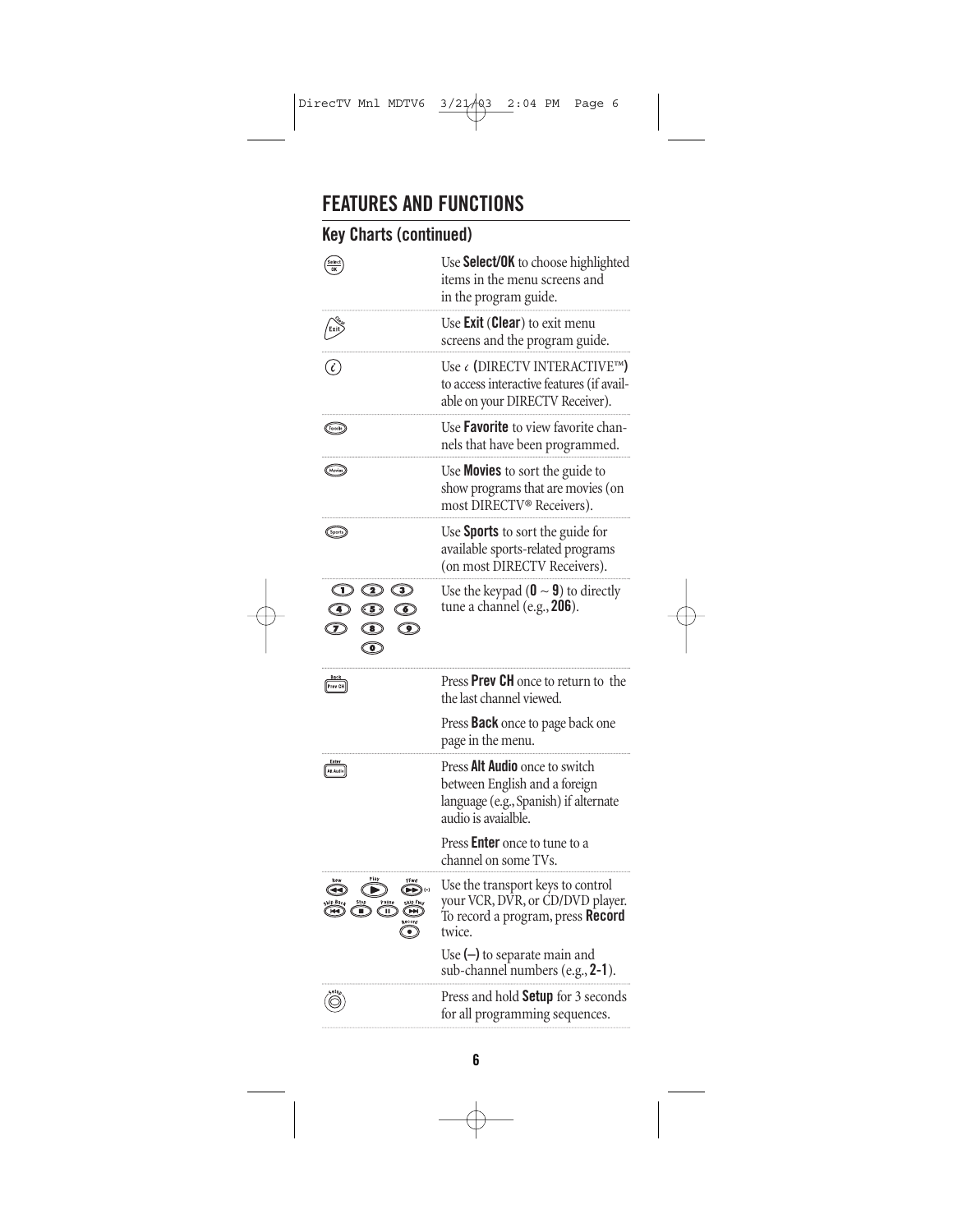## **FEATURES AND FUNCTIONS**

### **Key Charts (continued)**

| Selec<br>OK                                                                                                                                                           | Use Select/OK to choose highlighted<br>items in the menu screens and<br>in the program guide.                                   |
|-----------------------------------------------------------------------------------------------------------------------------------------------------------------------|---------------------------------------------------------------------------------------------------------------------------------|
|                                                                                                                                                                       | Use <b>Exit (Clear)</b> to exit menu<br>screens and the program guide.                                                          |
|                                                                                                                                                                       | Use ‹ (DIRECTV INTERACTIVE™)<br>to access interactive features (if avail-<br>able on your DIRECTV Receiver).                    |
| (Fovorite)                                                                                                                                                            | Use <b>Favorite</b> to view favorite chan-<br>nels that have been programmed.                                                   |
|                                                                                                                                                                       | Use <b>Movies</b> to sort the guide to<br>show programs that are movies (on<br>most DIRECTV <sup>®</sup> Receivers).            |
| (Sports)                                                                                                                                                              | Use <b>Sports</b> to sort the guide for<br>available sports-related programs<br>(on most DIRECTV Receivers).                    |
| $\circledcirc$ $\circledcirc$<br>$\bigcirc$<br>$\circledcirc$<br>$\circledcirc$<br>$\mathcal{D}$<br>$\circledcirc$<br>$\overline{\mathbf{3}}$<br>$\overline{\bullet}$ | Use the keypad ( $\mathbf{0} \sim \mathbf{9}$ ) to directly<br>tune a channel (e.g., 206).                                      |
| Prev CH                                                                                                                                                               | Press <b>Prev CH</b> once to return to the<br>the last channel viewed.                                                          |
|                                                                                                                                                                       | Press <b>Back</b> once to page back one<br>page in the menu.                                                                    |
| <u>Enter</u><br>Alt Audio                                                                                                                                             | Press Alt Audio once to switch<br>between English and a foreign<br>language (e.g., Spanish) if alternate<br>audio is avaialble. |
|                                                                                                                                                                       | Press <b>Enter</b> once to tune to a<br>channel on some TVs.                                                                    |
| ১(−)<br>٠                                                                                                                                                             | Use the transport keys to control<br>your VCR, DVR, or CD/DVD player.<br>To record a program, press Record<br>twice.            |
|                                                                                                                                                                       | Use $(-)$ to separate main and<br>sub-channel numbers (e.g., 2-1).                                                              |
|                                                                                                                                                                       | Press and hold Setup for 3 seconds<br>for all programming sequences.                                                            |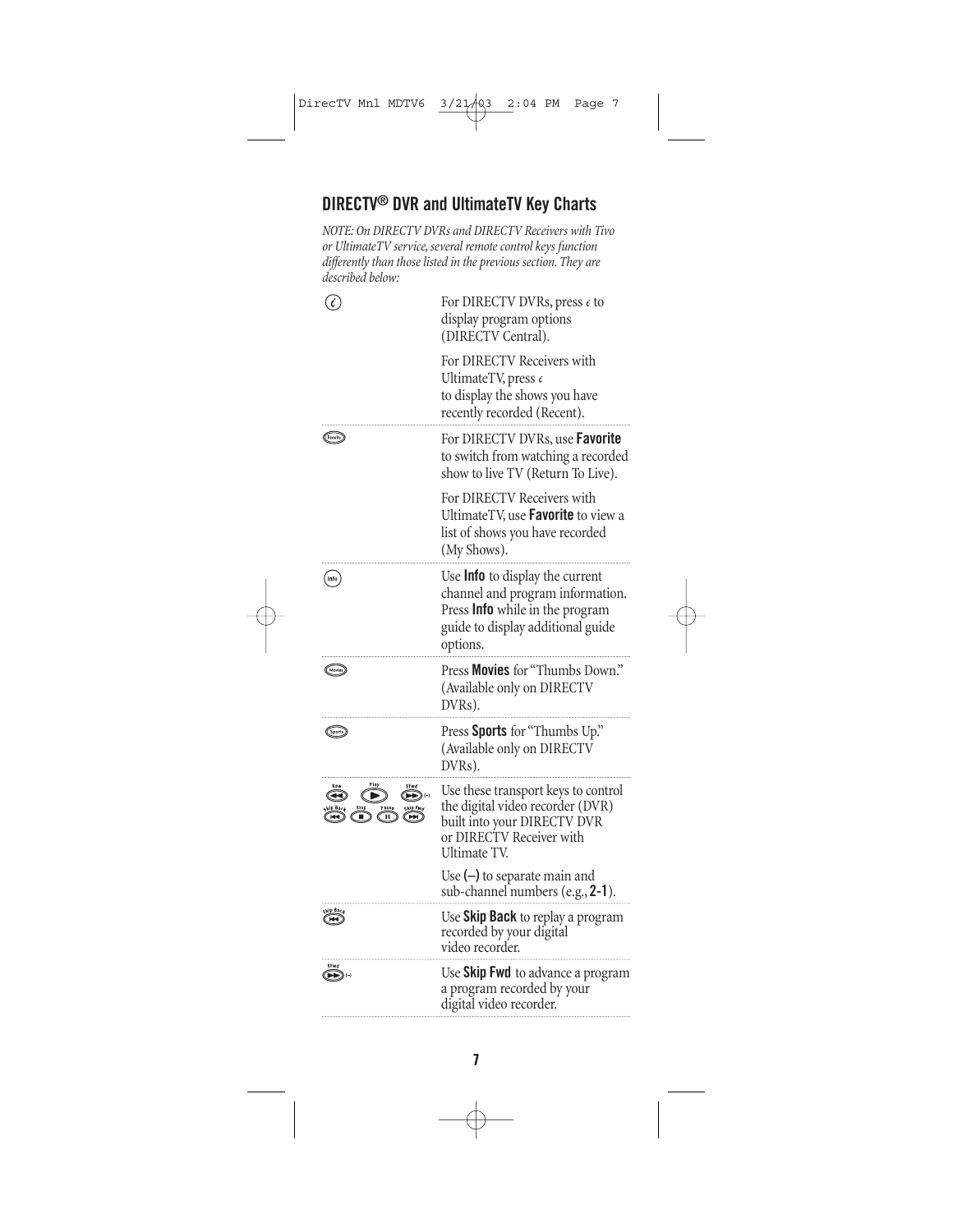#### **DIRECTV® DVR and UltimateTV Key Charts**

*NOTE: On DIRECTV DVRs and DIRECTV Receivers with Tivo or UltimateTV service, several remote control keys function differently than those listed in the previous section. They are described below:*

| $\mathcal{C}_{\mathcal{C}}$                                  | For DIRECTV DVRs, press $\epsilon$ to<br>display program options<br>(DIRECTV Central).                                                                         |
|--------------------------------------------------------------|----------------------------------------------------------------------------------------------------------------------------------------------------------------|
|                                                              | For DIRECTV Receivers with<br>UltimateTV, press c<br>to display the shows you have<br>recently recorded (Recent).                                              |
| (Favorite)                                                   | For DIRECTV DVRs, use <b>Favorite</b><br>to switch from watching a recorded<br>show to live TV (Return To Live).                                               |
|                                                              | For DIRECTV Receivers with<br>UltimateTV, use <b>Favorite</b> to view a<br>list of shows you have recorded<br>(My Shows).                                      |
| Info                                                         | Use <b>Info</b> to display the current<br>channel and program information.<br>Press Info while in the program<br>guide to display additional guide<br>options. |
| (Movies)                                                     | Press Movies for "Thumbs Down."<br>(Available only on DIRECTV<br>DVRs).                                                                                        |
| (Sports)                                                     | Press Sports for "Thumbs Up."<br>(Available only on DIRECTV<br>DVRs).                                                                                          |
| $\blacktriangleright\blacktriangleright) \; \leftrightarrow$ | Use these transport keys to control<br>the digital video recorder (DVR)<br>built into your DIRECTV DVR<br>or DIRECTV Receiver with<br>Ultimate TV.             |
|                                                              | Use $(-)$ to separate main and<br>sub-channel numbers (e.g., 2-1).                                                                                             |
|                                                              | Use Skip Back to replay a program<br>recorded by your digital<br>video recorder.                                                                               |
| FFwd<br>(▶▶)↔                                                | Use Skip Fwd to advance a program<br>a program recorded by your<br>digital video recorder.                                                                     |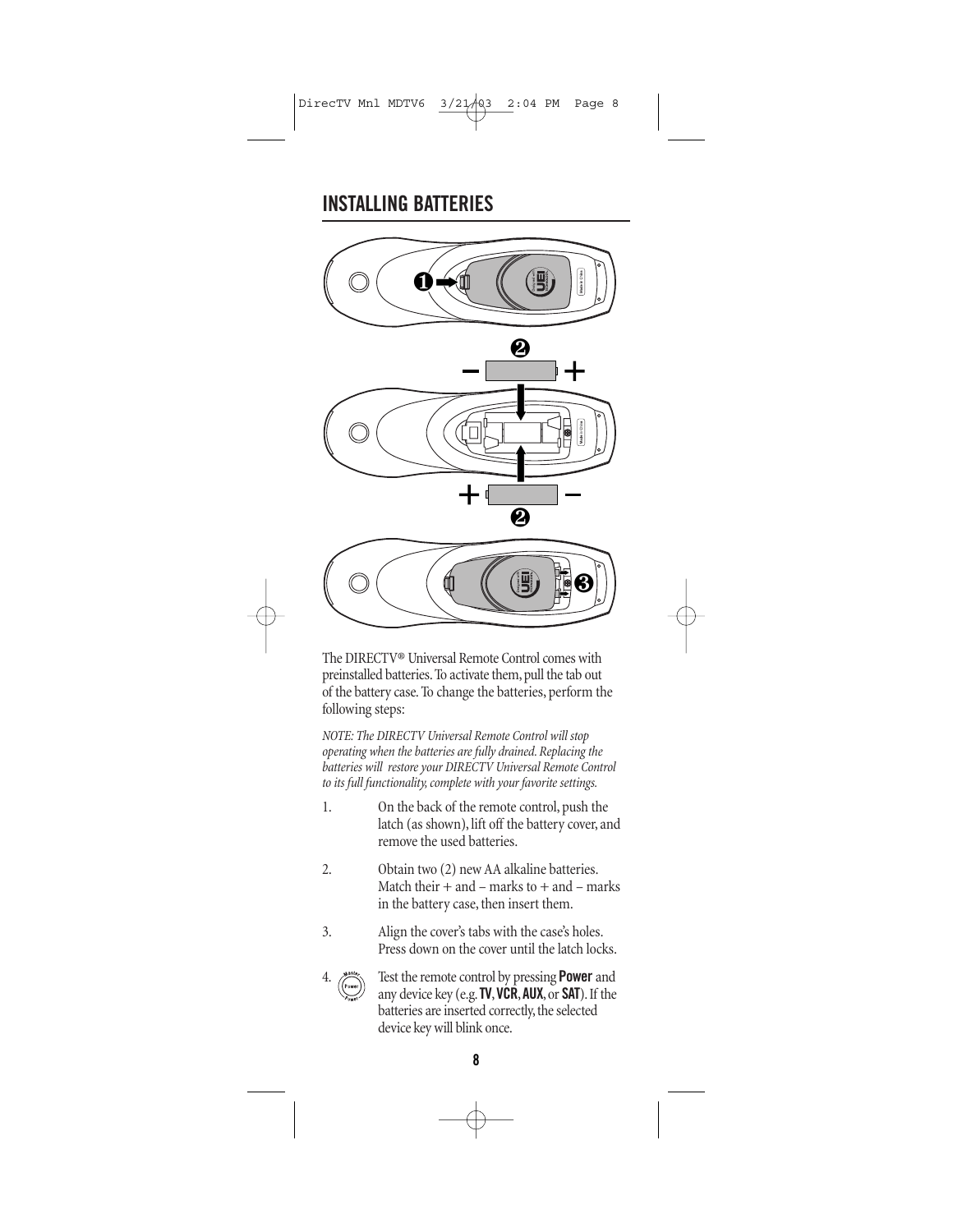### **INSTALLING BATTERIES**



The DIRECTV® Universal Remote Control comes with preinstalled batteries. To activate them, pull the tab out of the battery case. To change the batteries, perform the following steps:

*NOTE: The DIRECTV Universal Remote Control will stop operating when the batteries are fully drained. Replacing the batteries will restore your DIRECTV Universal Remote Control to its full functionality, complete with your favorite settings.*

1. On the back of the remote control, push the latch (as shown), lift off the battery cover, and remove the used batteries. 2. Obtain two (2) new AA alkaline batteries. Match their  $+$  and  $-$  marks to  $+$  and  $-$  marks in the battery case, then insert them. 3. Align the cover's tabs with the case's holes. Press down on the cover until the latch locks. 4. Test the remote control by pressing **Power** and any device key (e.g.**TV**,**VCR**,**AUX**, or **SAT**). If the batteries are inserted correctly, the selected device key will blink once.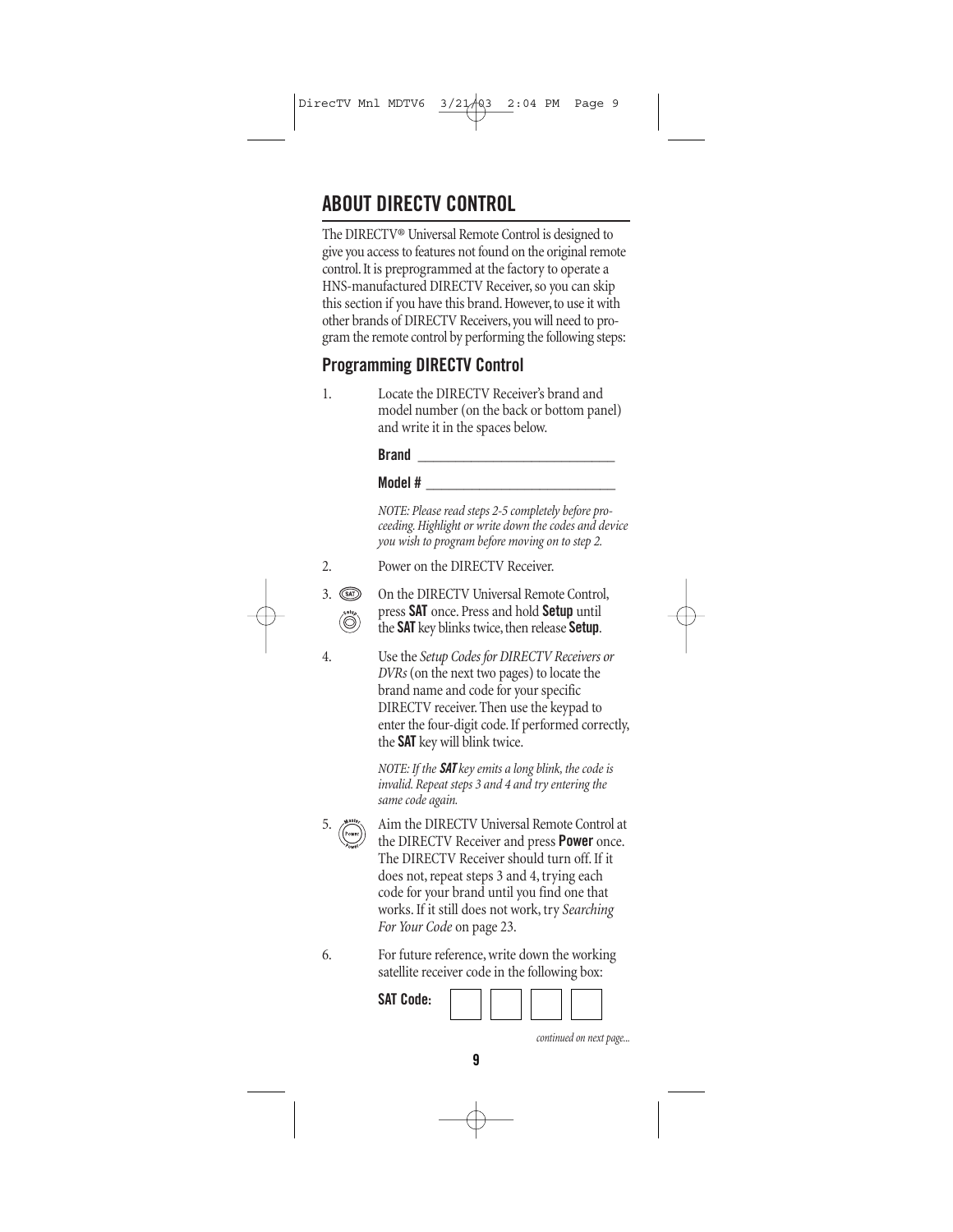# **ABOUT DIRECTV CONTROL**

The DIRECTV® Universal Remote Control is designed to give you access to features not found on the original remote control. It is preprogrammed at the factory to operate a HNS-manufactured DIRECTV Receiver, so you can skip this section if you have this brand. However, to use it with other brands of DIRECTV Receivers, you will need to program the remote control by performing the following steps:

#### **Programming DIRECTV Control**

1. Locate the DIRECTV Receiver's brand and model number (on the back or bottom panel) and write it in the spaces below.

**Brand \_\_\_\_\_\_\_\_\_\_\_\_\_\_\_\_\_\_\_\_\_\_\_\_\_\_**

**Model # \_\_\_\_\_\_\_\_\_\_\_\_\_\_\_\_\_\_\_\_\_\_\_\_\_**

*NOTE: Please read steps 2-5 completely before proceeding. Highlight or write down the codes and device you wish to program before moving on to step 2.*

2. Power on the DIRECTV Receiver.

3. On the DIRECTV Universal Remote Control, press **SAT** once. Press and hold **Setup** until the **SAT** key blinks twice, then release **Setup**.

4. Use the *Setup Codes for DIRECTV Receivers or DVRs* (on the next two pages) to locate the brand name and code for your specific DIRECTV receiver. Then use the keypad to enter the four-digit code. If performed correctly, the **SAT** key will blink twice.

> *NOTE: If the SAT key emits a long blink, the code is invalid. Repeat steps 3 and 4 and try entering the same code again.*

5.  $\binom{854}{\text{Power}}$  Aim the DIRECTV Universal Remote Control at the DIRECTV Receiver and press **Power** once. The DIRECTV Receiver should turn off. If it does not, repeat steps 3 and 4, trying each code for your brand until you find one that works. If it still does not work, try *Searching For Your Code* on page 23.

6. For future reference, write down the working satellite receiver code in the following box:

**SAT Code:**

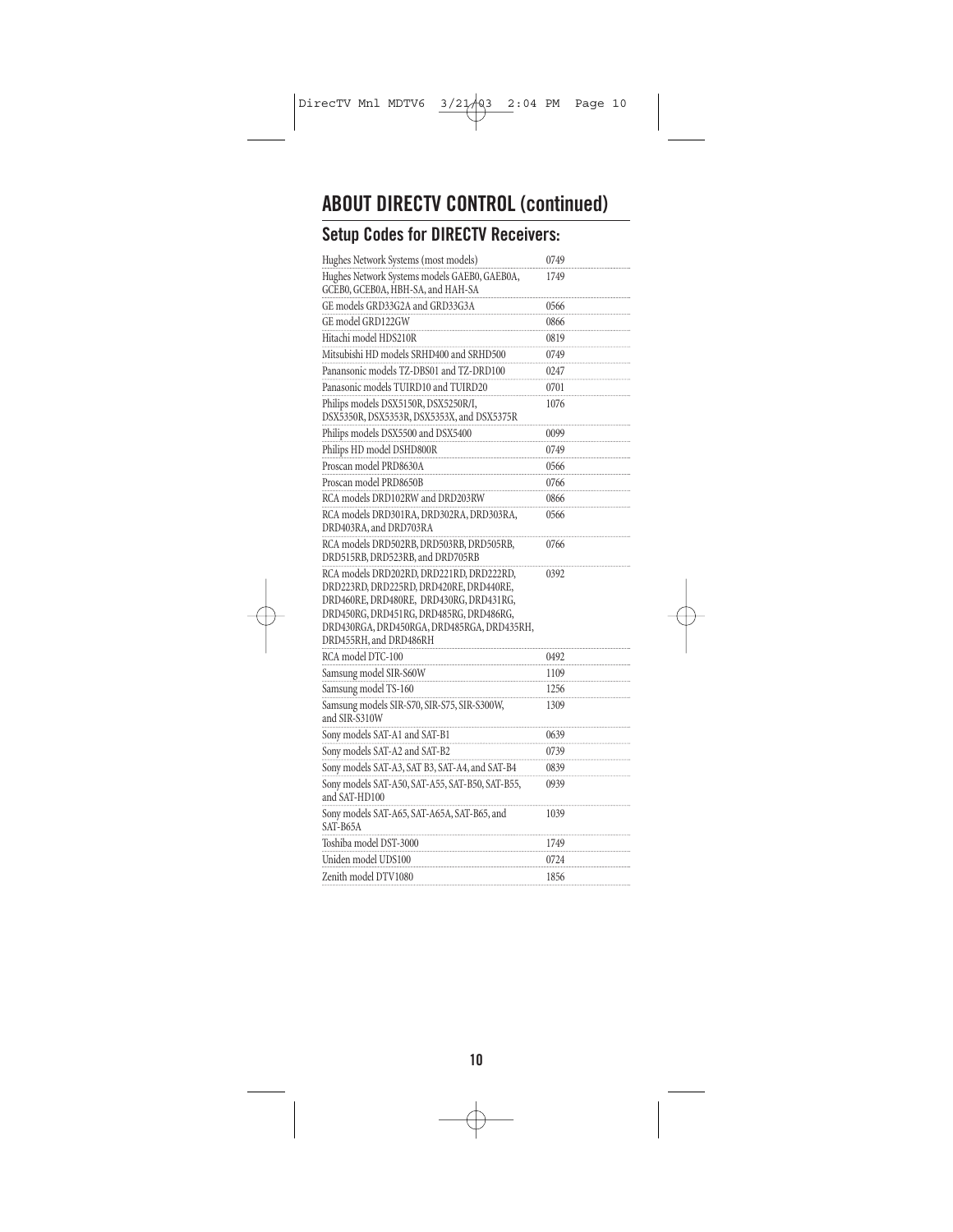# **ABOUT DIRECTV CONTROL (continued) Setup Codes for DIRECTV Receivers:**

| Hughes Network Systems (most models)                                                                                                                                                                                                              | 0749 |
|---------------------------------------------------------------------------------------------------------------------------------------------------------------------------------------------------------------------------------------------------|------|
| Hughes Network Systems models GAEB0, GAEB0A,<br>GCEB0, GCEB0A, HBH-SA, and HAH-SA                                                                                                                                                                 | 1749 |
| GE models GRD33G2A and GRD33G3A                                                                                                                                                                                                                   | 0566 |
| GE model GRD122GW                                                                                                                                                                                                                                 | 0866 |
| Hitachi model HDS210R                                                                                                                                                                                                                             | 0819 |
| Mitsubishi HD models SRHD400 and SRHD500                                                                                                                                                                                                          | 0749 |
| Panansonic models TZ-DBS01 and TZ-DRD100                                                                                                                                                                                                          | 0247 |
| Panasonic models TUIRD10 and TUIRD20                                                                                                                                                                                                              | 0701 |
| Philips models DSX5150R, DSX5250R/I,<br>DSX5350R, DSX5353R, DSX5353X, and DSX5375R                                                                                                                                                                | 1076 |
| Philips models DSX5500 and DSX5400                                                                                                                                                                                                                | 0099 |
| Philips HD model DSHD800R                                                                                                                                                                                                                         | 0749 |
| Proscan model PRD8630A                                                                                                                                                                                                                            | 0566 |
| Proscan model PRD8650B                                                                                                                                                                                                                            | 0766 |
| RCA models DRD102RW and DRD203RW                                                                                                                                                                                                                  | 0866 |
| RCA models DRD301RA, DRD302RA, DRD303RA,<br>DRD403RA, and DRD703RA                                                                                                                                                                                | 0566 |
| RCA models DRD502RB, DRD503RB, DRD505RB,<br>DRD515RB, DRD523RB, and DRD705RB                                                                                                                                                                      | 0766 |
| RCA models DRD202RD, DRD221RD, DRD222RD,<br>DRD223RD, DRD225RD, DRD420RE, DRD440RE,<br>DRD460RE, DRD480RE, DRD430RG, DRD431RG,<br>DRD450RG, DRD451RG, DRD485RG, DRD486RG,<br>DRD430RGA, DRD450RGA, DRD485RGA, DRD435RH,<br>DRD455RH, and DRD486RH | 0392 |
| RCA model DTC-100                                                                                                                                                                                                                                 | 0492 |
| Samsung model SIR-S60W                                                                                                                                                                                                                            | 1109 |
| Samsung model TS-160                                                                                                                                                                                                                              | 1256 |
| Samsung models SIR-S70, SIR-S75, SIR-S300W,<br>and SIR-S310W                                                                                                                                                                                      | 1309 |
| Sony models SAT-A1 and SAT-B1                                                                                                                                                                                                                     | 0639 |
| Sony models SAT-A2 and SAT-B2                                                                                                                                                                                                                     | 0739 |
| Sony models SAT-A3, SAT B3, SAT-A4, and SAT-B4                                                                                                                                                                                                    | 0839 |
| Sony models SAT-A50, SAT-A55, SAT-B50, SAT-B55,<br>and SAT-HD100                                                                                                                                                                                  | 0939 |
| Sony models SAT-A65, SAT-A65A, SAT-B65, and<br>SAT-B65A                                                                                                                                                                                           | 1039 |
| Toshiba model DST-3000                                                                                                                                                                                                                            | 1749 |
| Uniden model UDS100                                                                                                                                                                                                                               | 0724 |
| Zenith model DTV1080                                                                                                                                                                                                                              | 1856 |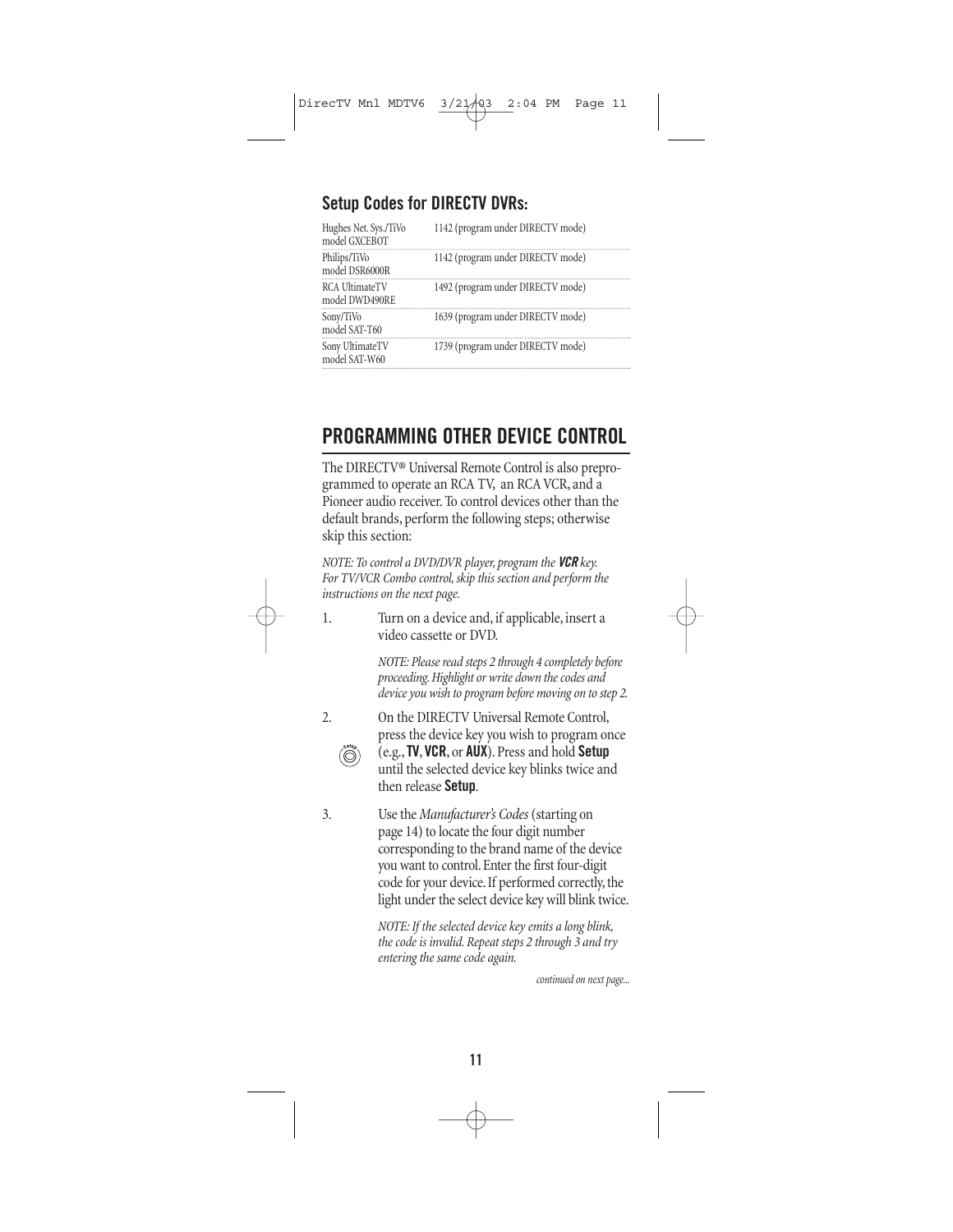#### **Setup Codes for DIRECTV DVRs:**

| Hughes Net. Sys./TiVo<br>model GXCEBOT | 1142 (program under DIRECTV mode) |
|----------------------------------------|-----------------------------------|
| Philips/TiVo<br>model DSR6000R         | 1142 (program under DIRECTV mode) |
| RCA UltimateTV<br>model DWD490RE       | 1492 (program under DIRECTV mode) |
| Sony/TiVo<br>model SAT-T60             | 1639 (program under DIRECTV mode) |
| Sony UltimateTV<br>model SAT-W60       | 1739 (program under DIRECTV mode) |

### **PROGRAMMING OTHER DEVICE CONTROL**

The DIRECTV® Universal Remote Control is also preprogrammed to operate an RCA TV, an RCA VCR, and a Pioneer audio receiver. To control devices other than the default brands, perform the following steps; otherwise skip this section:

*NOTE: To control a DVD/DVR player, program the VCR key. For TV/VCR Combo control, skip this section and perform the instructions on the next page.*

1. Turn on a device and, if applicable, insert a video cassette or DVD.

> *NOTE: Please read steps 2 through 4 completely before proceeding. Highlight or write down the codes and device you wish to program before moving on to step 2.*

2. On the DIRECTV Universal Remote Control, press the device key you wish to program once (e.g.,**TV**, **VCR**, or **AUX**). Press and hold **Setup** until the selected device key blinks twice and then release **Setup**.

3. Use the *Manufacturer's Codes*(starting on page 14) to locate the four digit number corresponding to the brand name of the device you want to control. Enter the first four-digit code for your device. If performed correctly, the light under the select device key will blink twice.

> *NOTE: If the selected device key emits a long blink, the code is invalid. Repeat steps 2 through 3 and try entering the same code again.*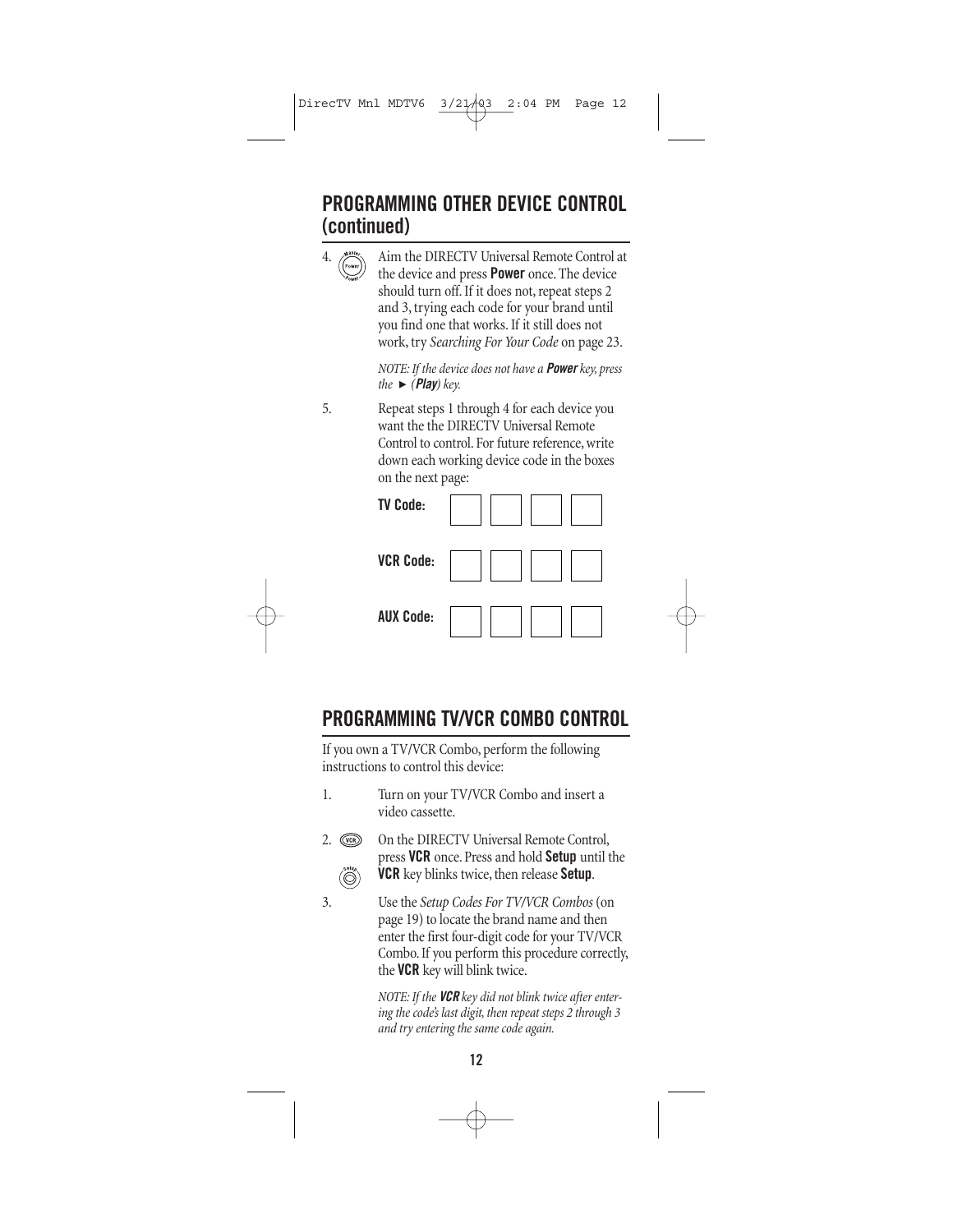### **PROGRAMMING OTHER DEVICE CONTROL (continued)**

4. Aim the DIRECTV Universal Remote Control at the device and press **Power** once. The device should turn off. If it does not, repeat steps 2 and 3, trying each code for your brand until you find one that works. If it still does not work, try *Searching For Your Code* on page 23. *NOTE: If the device does not have a Power key, press*  $the$   $\blacktriangleright$  (*Play*) key. 5. Repeat steps 1 through 4 for each device you want the the DIRECTV Universal Remote Control to control. For future reference, write down each working device code in the boxes on the next page: **TV Code: VCR Code: AUX Code:**

### **PROGRAMMING TV/VCR COMBO CONTROL**

If you own a TV/VCR Combo, perform the following instructions to control this device:

- 1. Turn on your TV/VCR Combo and insert a video cassette.
- 2. **Com** On the DIRECTV Universal Remote Control, press **VCR** once. Press and hold **Setup** until the **VCR** key blinks twice, then release **Setup**. Ő
- 3. Use the *Setup Codes For TV/VCR Combos* (on page 19) to locate the brand name and then enter the first four-digit code for your TV/VCR Combo. If you perform this procedure correctly, the **VCR** key will blink twice.

*NOTE: If the VCR key did not blink twice after entering the code's last digit, then repeat steps 2 through 3 and try entering the same code again.*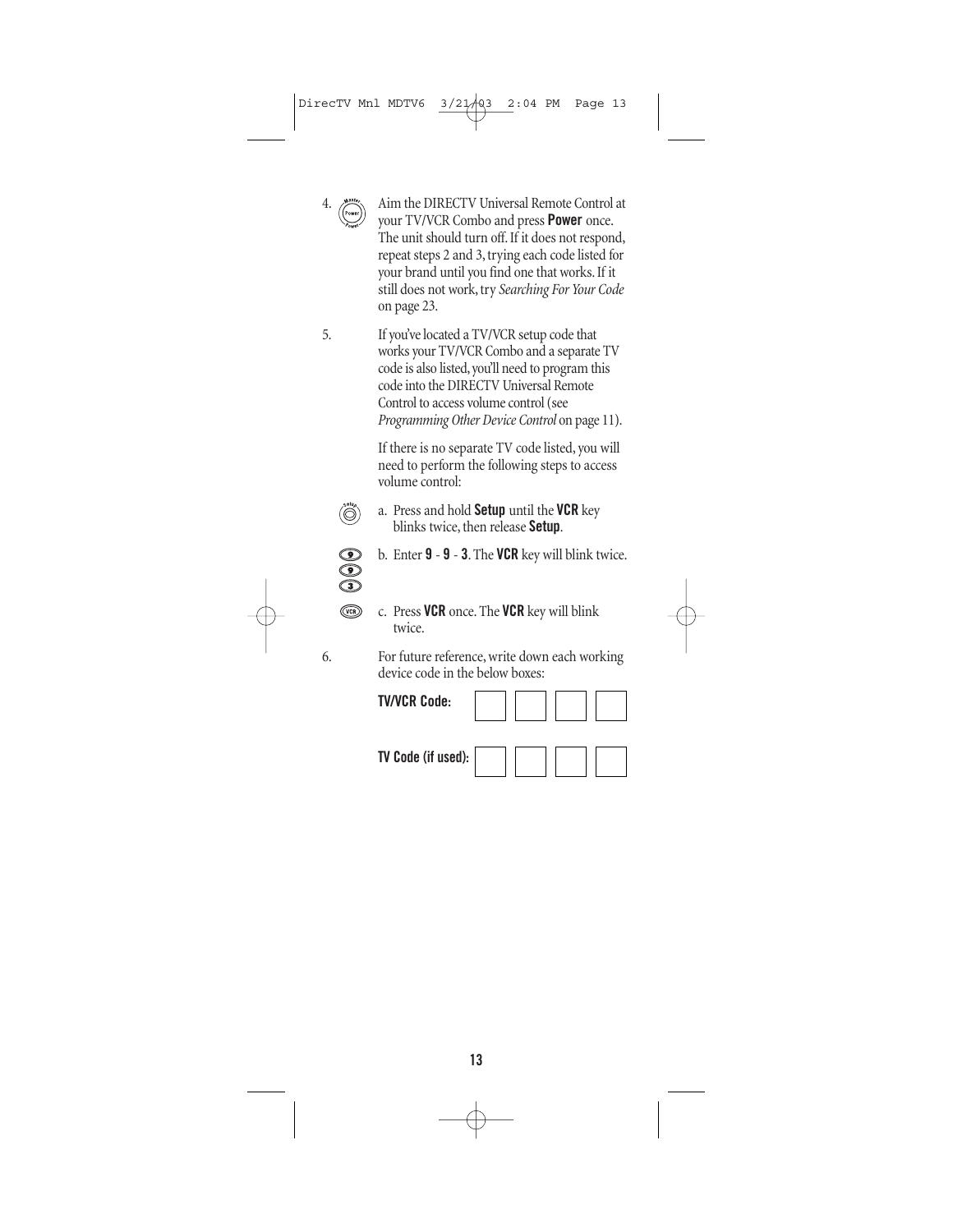

4. Aim the DIRECTV Universal Remote Control at your TV/VCR Combo and press **Power** once. The unit should turn off. If it does not respond, repeat steps 2 and 3, trying each code listed for your brand until you find one that works. If it still does not work, try *Searching For Your Code* on page 23.

5. If you've located a TV/VCR setup code that works your TV/VCR Combo and a separate TV code is also listed, you'll need to program this code into the DIRECTV Universal Remote Control to access volume control (see *Programming Other Device Control* on page 11).

> If there is no separate TV code listed, you will need to perform the following steps to access volume control:



a. Press and hold **Setup** until the **VCR** key blinks twice, then release **Setup**.



- b. Enter **9 9 3**. The **VCR** key will blink twice.
- $\circled{\scriptstyle\circ}$
- c. Press **VCR** once. The **VCR** key will blink twice.

6. For future reference, write down each working device code in the below boxes:

**TV/VCR Code:**



**TV Code (if used):**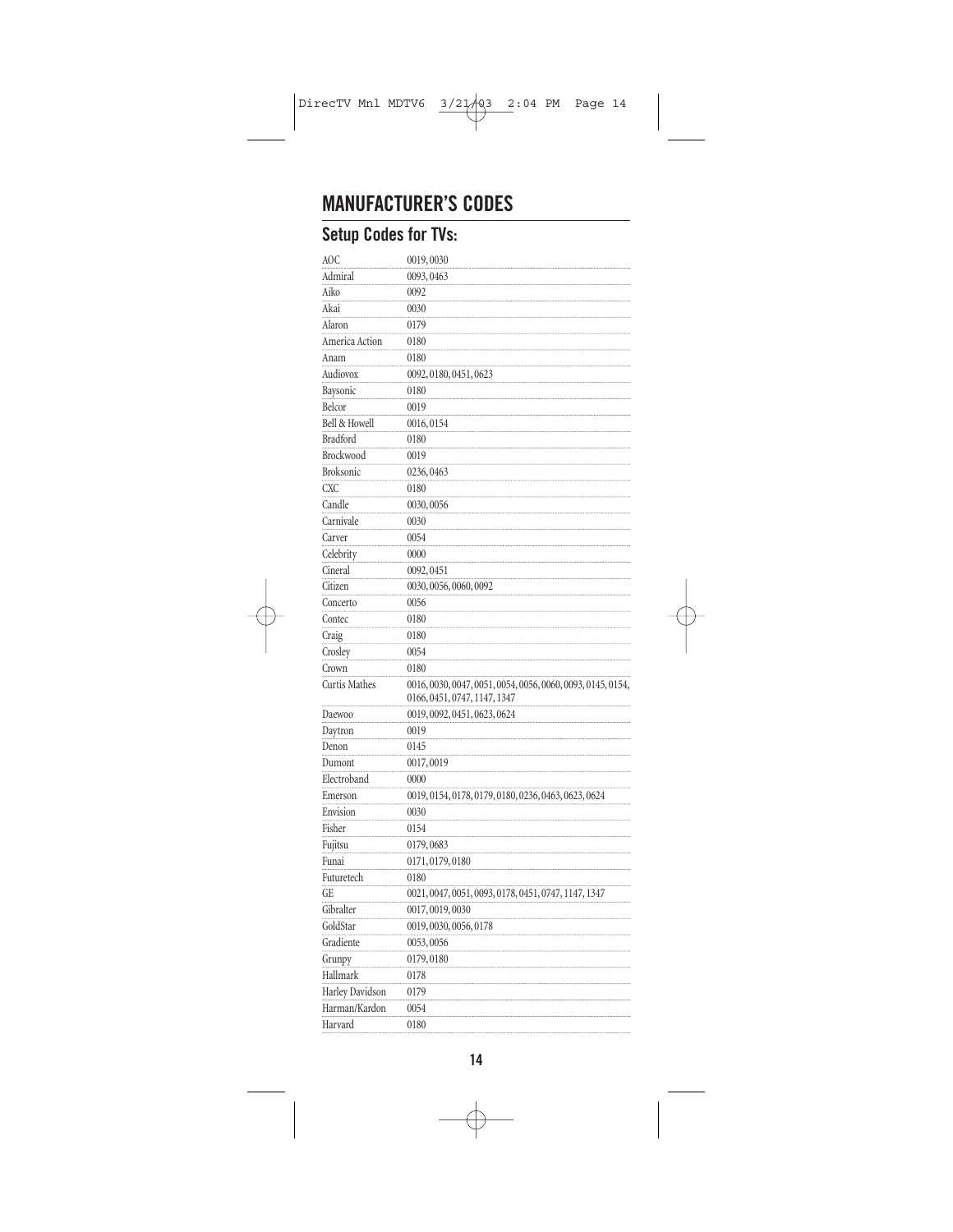### **MANUFACTURER'S CODES**

### **Setup Codes for TVs:**

| AOC                      | 0019,0030                                                   |
|--------------------------|-------------------------------------------------------------|
| Admiral                  | 0093,0463                                                   |
| Aiko                     | 0092                                                        |
| Akai                     | 0030                                                        |
| Alaron                   | 0179                                                        |
| America Action           | 0180                                                        |
| Anam                     | 0180                                                        |
| Audiovox                 | 0092, 0180, 0451, 0623                                      |
| Baysonic                 | 0180                                                        |
| Belcor                   | 0019                                                        |
| <b>Bell &amp; Howell</b> | 0016,0154                                                   |
| <b>Bradford</b>          | 0180                                                        |
| Brockwood                | 0019                                                        |
| <b>Broksonic</b>         | 0236, 0463                                                  |
| <b>CXC</b>               | 0180                                                        |
| Candle                   | 0030,0056                                                   |
| Carnivale                | 0030                                                        |
| Carver                   | 0054                                                        |
| Celebrity                | 0000                                                        |
| Cineral                  | 0092,0451                                                   |
| Citizen                  | 0030, 0056, 0060, 0092                                      |
| Concerto                 | 0056                                                        |
| Contec                   | 0180                                                        |
| Craig                    | 0180                                                        |
| Crosley                  | 0054                                                        |
| Crown                    | 0180                                                        |
| <b>Curtis Mathes</b>     | 0016, 0030, 0047, 0051, 0054, 0056, 0060, 0093, 0145, 0154, |
|                          | 0166, 0451, 0747, 1147, 1347                                |
| Daewoo                   | 0019, 0092, 0451, 0623, 0624                                |
| Daytron                  | 0019                                                        |
| Denon                    | 0145                                                        |
| Dumont                   | 0017,0019                                                   |
| Electroband              | 0000                                                        |
| Emerson                  | 0019, 0154, 0178, 0179, 0180, 0236, 0463, 0623, 0624        |
| Envision                 | 0030                                                        |
| Fisher                   | 0154                                                        |
| Fujitsu                  | 0179,0683                                                   |
| Funai                    | 0171,0179,0180                                              |
| Futuretech               | 0180                                                        |
| GE                       | 0021, 0047, 0051, 0093, 0178, 0451, 0747, 1147, 1347        |
| Gibralter                | 0017,0019,0030                                              |
| GoldStar                 | 0019, 0030, 0056, 0178                                      |
| Gradiente                | 0053,0056                                                   |
| Grunpy                   | 0179,0180                                                   |
| Hallmark                 | 0178                                                        |
| Harley Davidson          | 0179                                                        |
| Harman/Kardon            | 0054                                                        |
| Harvard                  | 0180                                                        |
|                          |                                                             |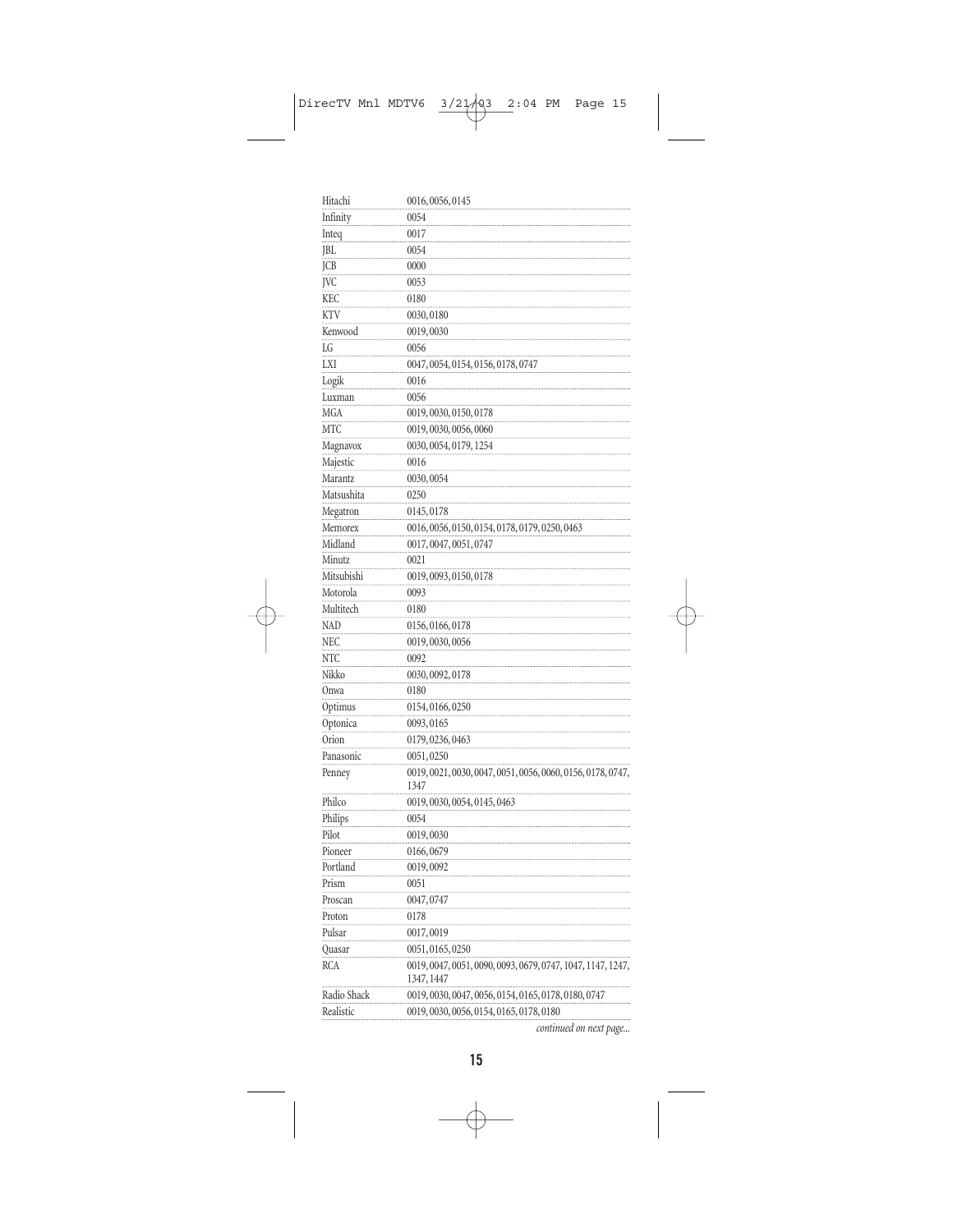| Hitachi           | 0016, 0056, 0145                                                          |
|-------------------|---------------------------------------------------------------------------|
| Infinity          | 0054                                                                      |
| Inteq             | 0017                                                                      |
| JBL               | 0054                                                                      |
| <b>JCB</b>        | 0000                                                                      |
| JVC               | 0053                                                                      |
| KEC               | 0180                                                                      |
| KTV               | 0030,0180                                                                 |
| Kenwood           | 0019,0030                                                                 |
| LG                | 0056                                                                      |
| LXI               | 0047, 0054, 0154, 0156, 0178, 0747                                        |
| Logik             | 0016                                                                      |
| Luxman            | 0056                                                                      |
| MGA               | 0019, 0030, 0150, 0178                                                    |
| МTC               | 0019, 0030, 0056, 0060                                                    |
| Magnavox          | 0030, 0054, 0179, 1254                                                    |
| Majestic          | 0016                                                                      |
| Marantz           | 0030,0054                                                                 |
| Matsushita        | 0250                                                                      |
| Megatron          | 0145,0178                                                                 |
| Memorex           | 0016, 0056, 0150, 0154, 0178, 0179, 0250, 0463                            |
| Midland           | 0017, 0047, 0051, 0747                                                    |
| Minutz            | 0021                                                                      |
| Mitsubishi        | 0019, 0093, 0150, 0178                                                    |
| Motorola          | 0093                                                                      |
| Multitech         | 0180                                                                      |
| <b>NAD</b>        | 0156, 0166, 0178                                                          |
| NEC               | 0019, 0030, 0056                                                          |
| NTC               | 0092                                                                      |
| Nikko             | 0030, 0092, 0178                                                          |
| Onwa              | 0180                                                                      |
| Optimus           | 0154, 0166, 0250                                                          |
|                   |                                                                           |
| Optonica<br>Orion | 0093, 0165                                                                |
|                   | 0179, 0236, 0463                                                          |
| Panasonic         | 0051,0250                                                                 |
| Penney            | 0019, 0021, 0030, 0047, 0051, 0056, 0060, 0156, 0178, 0747,<br>1347       |
| Philco            | 0019, 0030, 0054, 0145, 0463                                              |
| Philips           | 0054                                                                      |
| Pilot             | 0019,0030                                                                 |
| Pioneer           | 0166,0679                                                                 |
| Portland          | 0019,0092                                                                 |
| Prism             | 0051                                                                      |
| Proscan           | 0047,0747                                                                 |
| Proton            |                                                                           |
|                   | 0178                                                                      |
| Pulsar            | 0017,0019                                                                 |
| Quasar            | 0051, 0165, 0250                                                          |
| RCA               | 0019, 0047, 0051, 0090, 0093, 0679, 0747, 1047, 1147, 1247,<br>1347, 1447 |
| Radio Shack       | 0019, 0030, 0047, 0056, 0154, 0165, 0178, 0180, 0747                      |
| Realistic         | 0019, 0030, 0056, 0154, 0165, 0178, 0180                                  |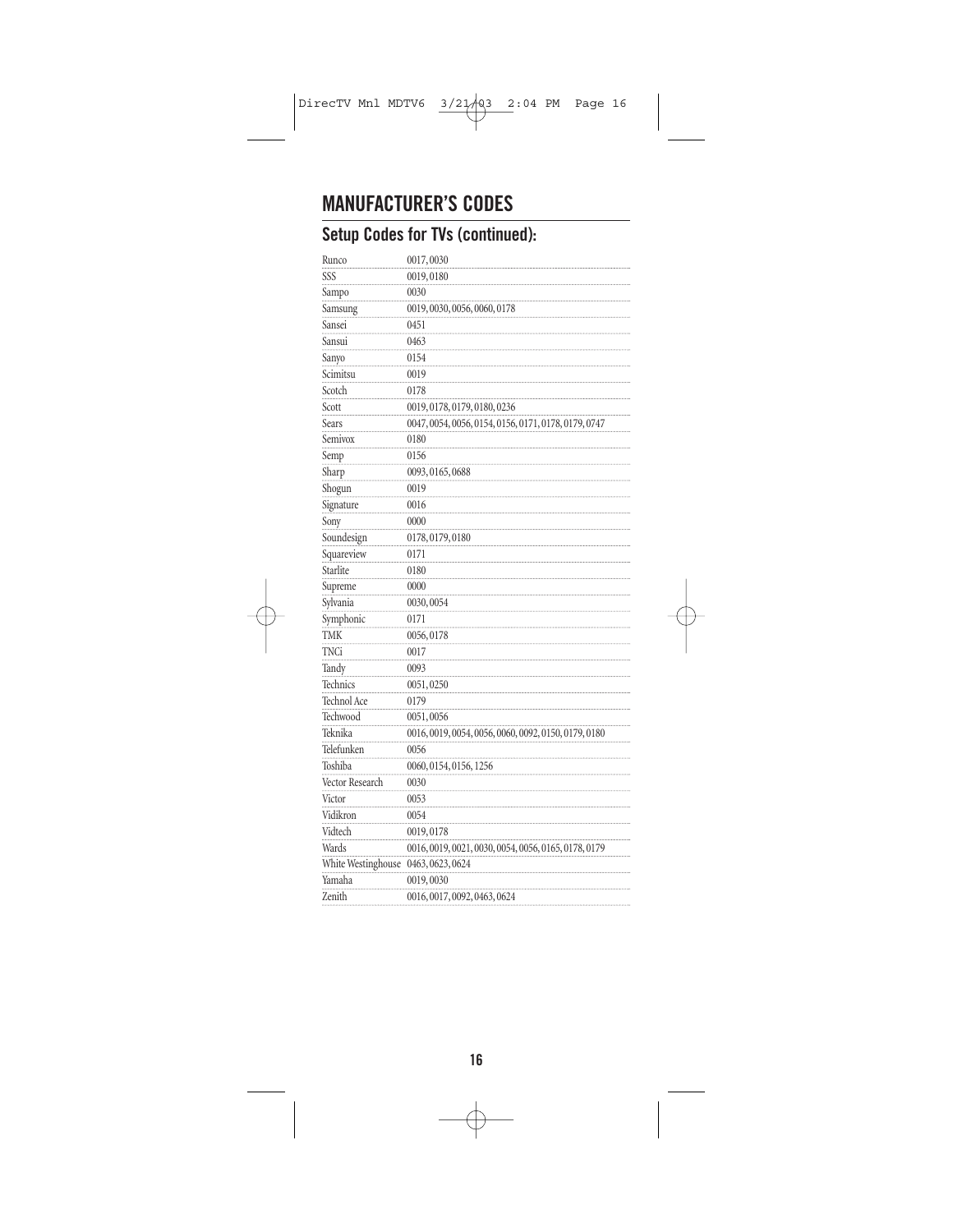# **MANUFACTURER'S CODES**

### **Setup Codes for TVs (continued):**

| Runco              | 0017,0030                                            |
|--------------------|------------------------------------------------------|
| SSS                | 0019,0180                                            |
| Sampo              | 0030                                                 |
| Samsung            | 0019, 0030, 0056, 0060, 0178                         |
| Sansei             | 0451                                                 |
| Sansui             | 0463                                                 |
| Sanyo              | 0154                                                 |
| Scimitsu           | 0019                                                 |
| Scotch             | 0178                                                 |
| Scott              | 0019, 0178, 0179, 0180, 0236                         |
| Sears              | 0047, 0054, 0056, 0154, 0156, 0171, 0178, 0179, 0747 |
| Semivox            | 0180                                                 |
| Semp               | 0156                                                 |
| Sharp              | 0093, 0165, 0688                                     |
| Shogun             | 0019                                                 |
| Signature          | 0016                                                 |
| Sony               | 0000                                                 |
| Soundesign         | 0178, 0179, 0180                                     |
| Squareview         | 0171                                                 |
| Starlite           | 0180                                                 |
| Supreme            | 0000                                                 |
| Sylvania           | 0030,0054                                            |
| Symphonic          | 0171                                                 |
| <b>TMK</b>         | 0056,0178                                            |
| <b>TNCi</b>        | 0017                                                 |
| Tandy              | 0093                                                 |
| Technics           | 0051,0250                                            |
| Technol Ace        | 0179                                                 |
| Techwood           | 0051,0056                                            |
| Teknika            | 0016, 0019, 0054, 0056, 0060, 0092, 0150, 0179, 0180 |
| Telefunken         | 0056                                                 |
| Toshiba            | 0060, 0154, 0156, 1256                               |
| Vector Research    | 0030                                                 |
| Victor             | 0053                                                 |
| Vidikron           | 0054                                                 |
| Vidtech            | 0019,0178                                            |
| Wards              | 0016, 0019, 0021, 0030, 0054, 0056, 0165, 0178, 0179 |
| White Westinghouse | 0463, 0623, 0624                                     |
| Yamaha             | 0019,0030                                            |
| Zenith             | 0016, 0017, 0092, 0463, 0624                         |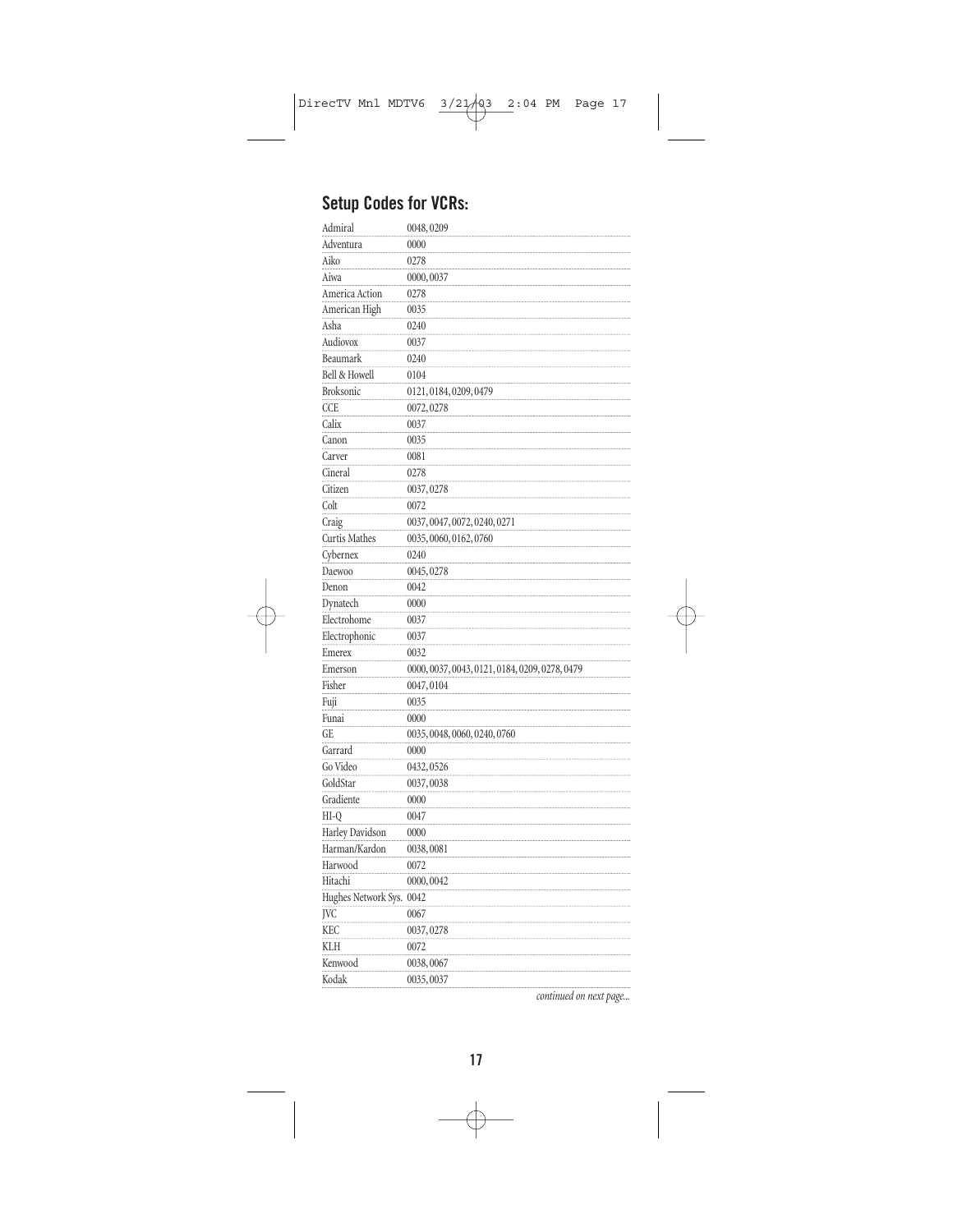### **Setup Codes for VCRs:**

| Admiral                  | 0048,0209                                      |
|--------------------------|------------------------------------------------|
| Adventura                | 0000                                           |
| Aiko                     | 0278                                           |
| Aiwa                     | 0000,0037                                      |
| America Action           | 0278                                           |
| American High            | 0035                                           |
| Asha                     | 0240                                           |
| Audiovox                 | 0037                                           |
| Beaumark                 | 0240                                           |
| Bell & Howell            | 0104                                           |
| <b>Broksonic</b>         | 0121, 0184, 0209, 0479                         |
| <b>CCE</b>               | 0072, 0278                                     |
| Calix                    | 0037                                           |
| Canon                    | 0035                                           |
| Carver                   | 0081                                           |
| Cineral                  | 0278                                           |
| Citizen                  | 0037,0278                                      |
| Colt                     | 0072                                           |
| Craig                    | 0037, 0047, 0072, 0240, 0271                   |
| Curtis Mathes            | 0035, 0060, 0162, 0760                         |
| Cybernex                 | 0240                                           |
| Daewoo                   | 0045, 0278                                     |
| Denon                    | 0042                                           |
| Dynatech                 | 0000                                           |
| Electrohome              | 0037                                           |
| Electrophonic            | 0037                                           |
| Emerex                   | 0032                                           |
| Emerson                  | 0000, 0037, 0043, 0121, 0184, 0209, 0278, 0479 |
| Fisher                   | 0047,0104                                      |
| Fuji                     | 0035                                           |
| Funai                    | 0000                                           |
| GE                       | 0035, 0048, 0060, 0240, 0760                   |
| Garrard                  | 0000                                           |
| Go Video                 | 0432,0526                                      |
| GoldStar                 | 0037,0038                                      |
| Gradiente                | 0000                                           |
| $HI-O$                   | 0047                                           |
| Harley Davidson          | 0000                                           |
| Harman/Kardon            | 0038,0081                                      |
| Harwood                  | 0072                                           |
| Hitachi                  | 0000,0042                                      |
| Hughes Network Sys. 0042 |                                                |
| JVC                      | 0067                                           |
| <b>KEC</b>               | 0037,0278                                      |
| KLH                      | 0072                                           |
| Kenwood                  | 0038,0067                                      |
| Kodak                    | 0035,0037                                      |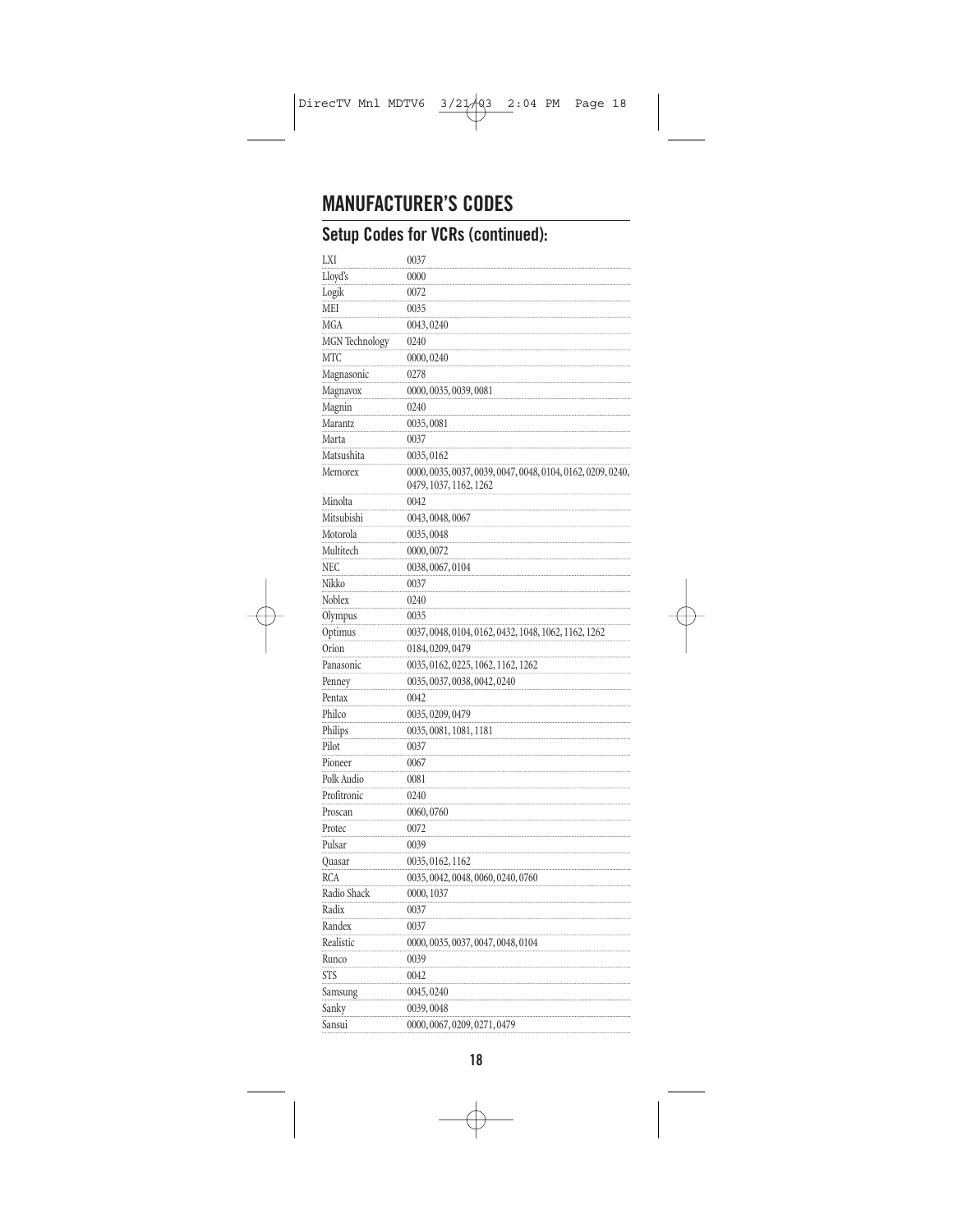### **MANUFACTURER'S CODES**

### **Setup Codes for VCRs (continued):**

| LXI                   | 0037                                                                                  |
|-----------------------|---------------------------------------------------------------------------------------|
| Lloyd's               | 0000                                                                                  |
| Logik                 | 0072                                                                                  |
| MEI                   | 0035                                                                                  |
| MGA                   | 0043,0240                                                                             |
| <b>MGN</b> Technology | 0240                                                                                  |
| MTC                   | 0000,0240                                                                             |
| Magnasonic            | 0278                                                                                  |
| Magnavox              | 0000, 0035, 0039, 0081                                                                |
| Magnin                | 0240                                                                                  |
| Marantz               | 0035,0081                                                                             |
| Marta                 | 0037                                                                                  |
| Matsushita            | 0035,0162                                                                             |
| Memorex               | 0000, 0035, 0037, 0039, 0047, 0048, 0104, 0162, 0209, 0240,<br>0479, 1037, 1162, 1262 |
| Minolta               | 0042                                                                                  |
| Mitsubishi            | 0043, 0048, 0067                                                                      |
| Motorola              | 0035,0048                                                                             |
| Multitech             | 0000,0072                                                                             |
| NEC                   | 0038,0067,0104                                                                        |
| Nikko                 | 0037                                                                                  |
| Noblex                | 0240                                                                                  |
| Olympus               | 0035                                                                                  |
| Optimus               | 0037, 0048, 0104, 0162, 0432, 1048, 1062, 1162, 1262                                  |
| Orion                 | 0184, 0209, 0479                                                                      |
| Panasonic             | 0035, 0162, 0225, 1062, 1162, 1262                                                    |
| Penney                | 0035, 0037, 0038, 0042, 0240                                                          |
| Pentax                | 0042                                                                                  |
| Philco                | 0035, 0209, 0479                                                                      |
| Philips               | 0035, 0081, 1081, 1181                                                                |
| Pilot                 | 0037                                                                                  |
| Pioneer               | 0067                                                                                  |
| Polk Audio            | 0081                                                                                  |
| Profitronic           | 0240                                                                                  |
| Proscan               | 0060,0760                                                                             |
| Protec                | 0072                                                                                  |
| Pulsar                | 0039                                                                                  |
| Quasar                | 0035, 0162, 1162                                                                      |
| <b>RCA</b>            | 0035, 0042, 0048, 0060, 0240, 0760                                                    |
| Radio Shack           | 0000, 1037                                                                            |
| Radix                 | 0037                                                                                  |
| Randex                | 0037                                                                                  |
| Realistic             | 0000, 0035, 0037, 0047, 0048, 0104                                                    |
| Runco                 | 0039                                                                                  |
| <b>STS</b>            | 0042                                                                                  |
| Samsung               | 0045,0240                                                                             |
| Sanky                 | 0039,0048                                                                             |
| Sansui                | 0000, 0067, 0209, 0271, 0479                                                          |
|                       |                                                                                       |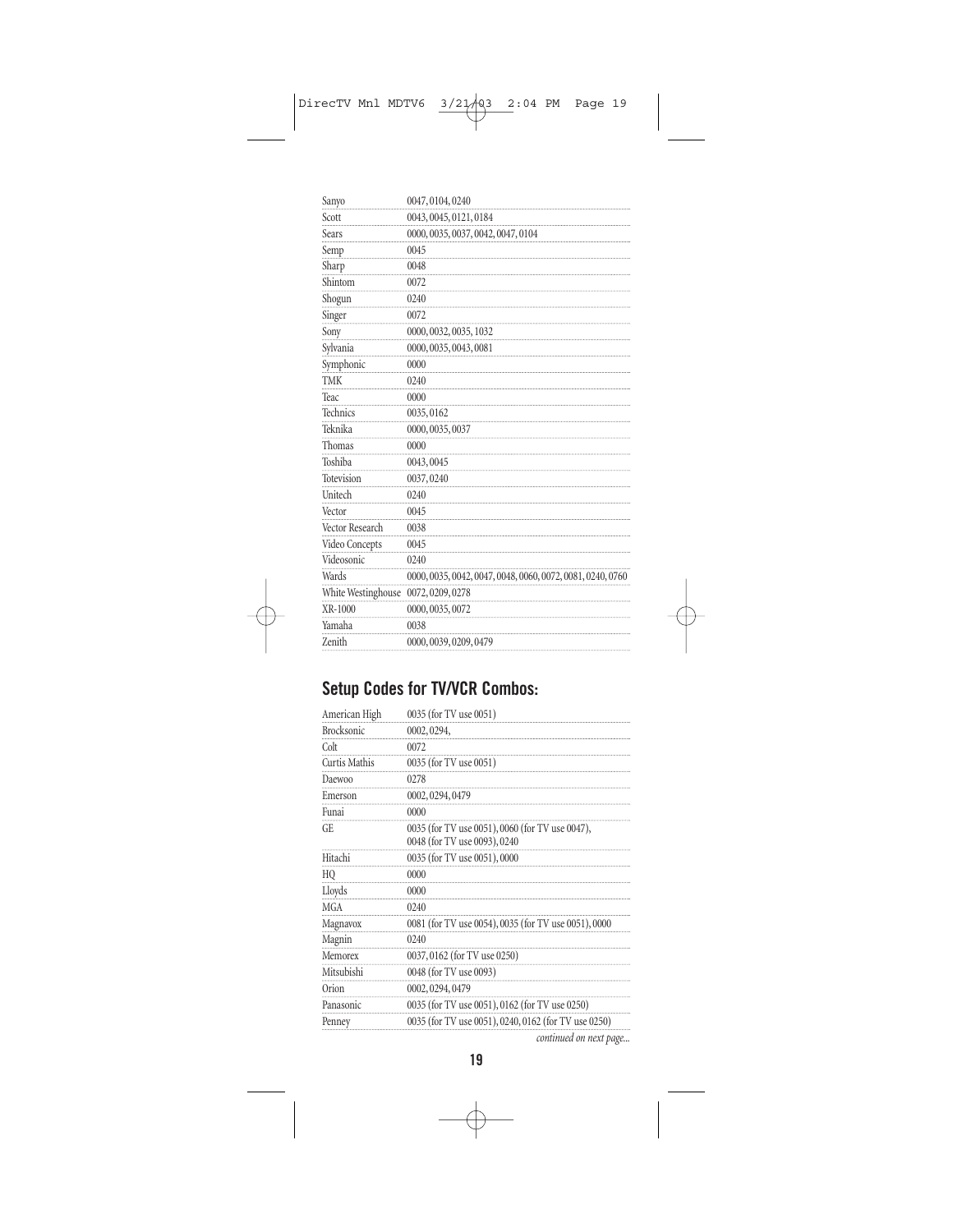| Sanyo              | 0047,0104,0240                                             |
|--------------------|------------------------------------------------------------|
| Scott              | 0043, 0045, 0121, 0184                                     |
| Sears              | 0000, 0035, 0037, 0042, 0047, 0104                         |
| Semp               | 0045                                                       |
| Sharp              | 0048                                                       |
| Shintom            | 0072                                                       |
| Shogun             | 0240                                                       |
| Singer             | 0072                                                       |
| Sony               | 0000, 0032, 0035, 1032                                     |
| Sylvania           | 0000, 0035, 0043, 0081                                     |
| Symphonic          | 0000                                                       |
| <b>TMK</b>         | 0240                                                       |
| Teac               | 0000                                                       |
| Technics           | 0035,0162                                                  |
| Teknika            | 0000, 0035, 0037                                           |
| Thomas             | 0000                                                       |
| Toshiba            | 0043,0045                                                  |
| Totevision         | 0037,0240                                                  |
| Unitech            | 0240                                                       |
| Vector             | 0045                                                       |
| Vector Research    | 0038                                                       |
| Video Concepts     | 0045                                                       |
| Videosonic         | 0240                                                       |
| Wards              | 0000, 0035, 0042, 0047, 0048, 0060, 0072, 0081, 0240, 0760 |
| White Westinghouse | 0072, 0209, 0278                                           |
| XR-1000            | 0000, 0035, 0072                                           |
| Yamaha             | 0038                                                       |
| Zenith             | 0000, 0039, 0209, 0479                                     |

### **Setup Codes for TV/VCR Combos:**

| American High     | 0035 (for TV use 0051)                                                          |
|-------------------|---------------------------------------------------------------------------------|
| <b>Brocksonic</b> | 0002, 0294,                                                                     |
| Colt              | 0072                                                                            |
| Curtis Mathis     | 0035 (for TV use 0051)                                                          |
| Daewoo            | 0278                                                                            |
| Emerson           | 0002, 0294, 0479                                                                |
| Funai             | 0000                                                                            |
| GE.               | 0035 (for TV use 0051), 0060 (for TV use 0047),<br>0048 (for TV use 0093), 0240 |
| Hitachi           | 0035 (for TV use 0051), 0000                                                    |
| HQ                | 0000                                                                            |
| Lloyds            | 0000                                                                            |
| <b>MGA</b>        | 0240                                                                            |
| Magnavox          | 0081 (for TV use 0054), 0035 (for TV use 0051), 0000                            |
| Magnin            | 0240                                                                            |
| Memorex           | 0037, 0162 (for TV use 0250)                                                    |
| Mitsubishi        | 0048 (for TV use 0093)                                                          |
| Orion             | 0002, 0294, 0479                                                                |
| Panasonic         | 0035 (for TV use 0051), 0162 (for TV use 0250)                                  |
| Penney            | 0035 (for TV use 0051), 0240, 0162 (for TV use 0250)                            |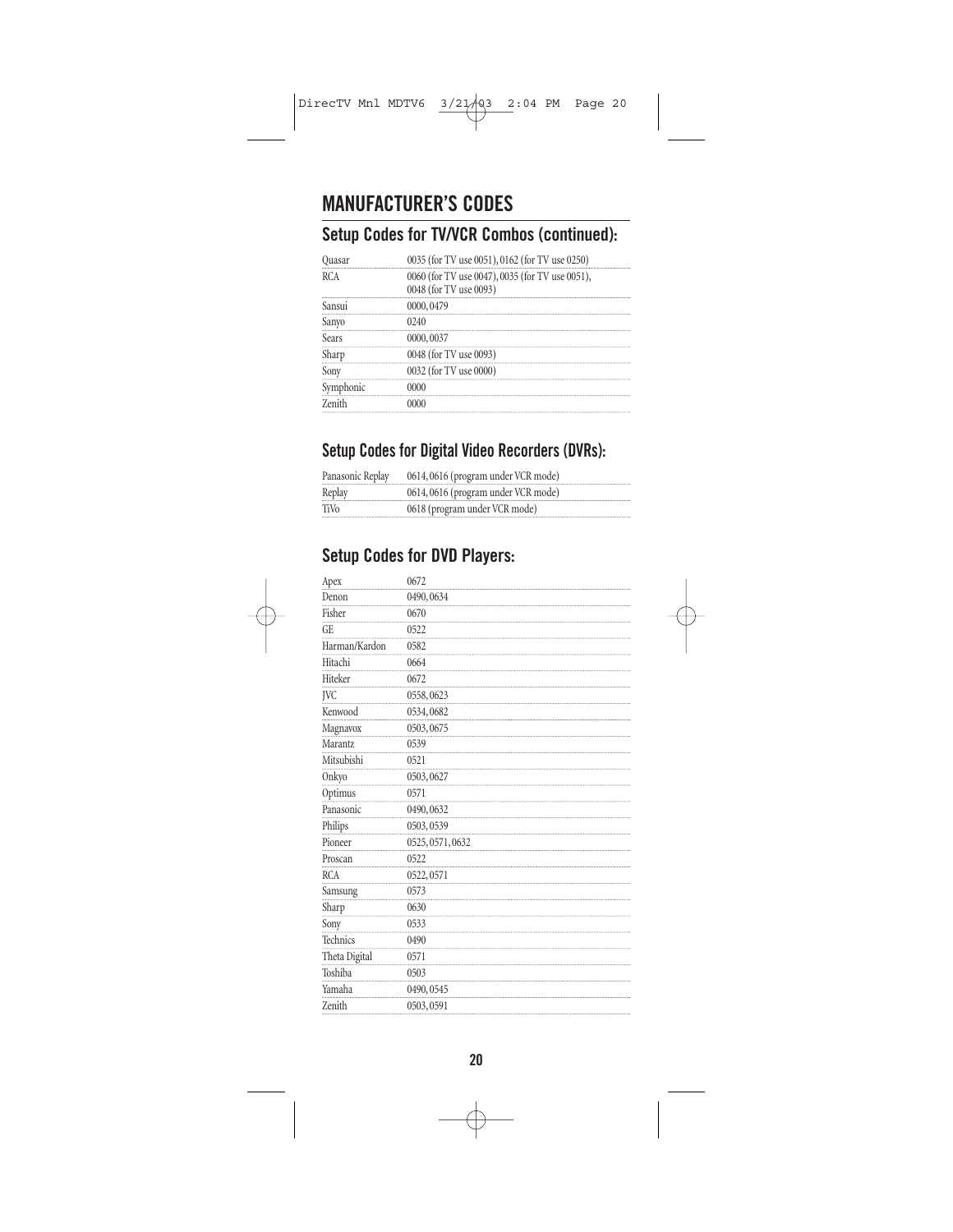# **MANUFACTURER'S CODES**

#### **Setup Codes for TV/VCR Combos (continued):**

|       | 0035 (for TV use 0051), 0162 (for TV use 0250)  |
|-------|-------------------------------------------------|
| RCA   | 0060 (for TV use 0047), 0035 (for TV use 0051), |
|       | 0048 (for TV use 0093)                          |
|       |                                                 |
| Sanvo |                                                 |
| Sears | 0000,0037                                       |
|       | 0048 (for TV use 0093)                          |
|       | 0032 (for TV use 0000)                          |
|       |                                                 |
|       |                                                 |

#### **Setup Codes for Digital Video Recorders (DVRs):**

| Panasonic Replay | 0614,0616 (program under VCR mode) |
|------------------|------------------------------------|
| Replay           | 0614,0616 (program under VCR mode) |
| TiVo             | 0618 (program under VCR mode)      |

#### **Setup Codes for DVD Players:**

| Apex          | 0672             |
|---------------|------------------|
| Denon         | 0490,0634        |
| Fisher        | 0670             |
| GE            | 0522             |
| Harman/Kardon | 0582             |
| Hitachi       | 0664             |
| Hiteker       | 0672             |
| <b>IVC</b>    | 0558,0623        |
| Kenwood       | 0534,0682        |
| Magnavox      | 0503,0675        |
| Marantz       | 0539             |
| Mitsubishi    | 0521             |
| Onkyo         | 0503,0627        |
| Optimus       | 0571             |
| Panasonic     | 0490,0632        |
| Philips       | 0503,0539        |
| Pioneer       | 0525, 0571, 0632 |
| Proscan       | 0522             |
| <b>RCA</b>    | 0522,0571        |
| Samsung       | 0573             |
| Sharp         | 0630             |
| Sony          | 0533             |
| Technics      | 0490             |
| Theta Digital | 0571             |
| Toshiba       | 0503             |
| Yamaha        | 0490,0545        |
| Zenith        | 0503,0591        |
|               |                  |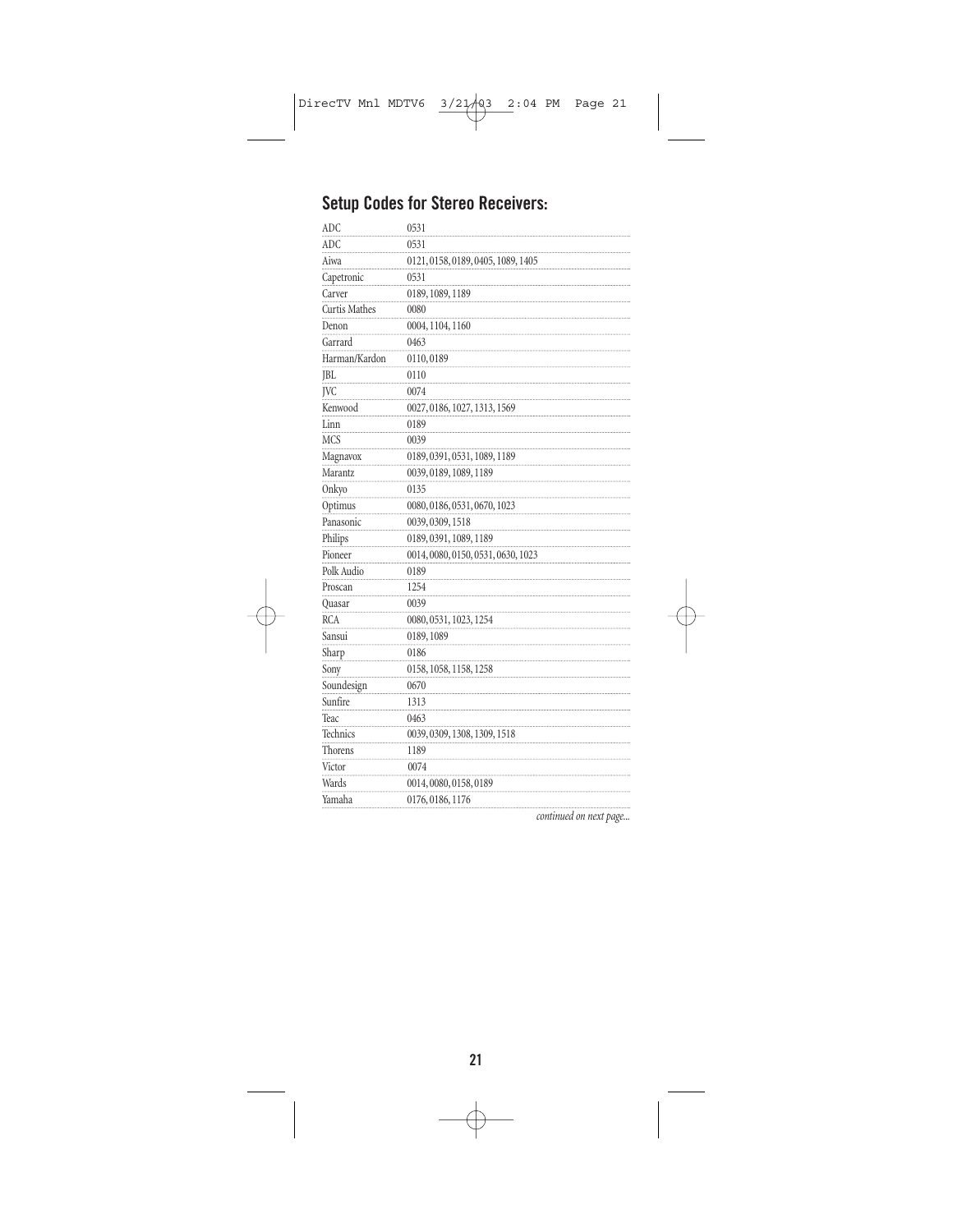### **Setup Codes for Stereo Receivers:**

| <b>ADC</b>           | 0531                               |
|----------------------|------------------------------------|
| ADC                  | 0531                               |
| Aiwa                 | 0121, 0158, 0189, 0405, 1089, 1405 |
| Capetronic           | 0531                               |
| Carver               | 0189, 1089, 1189                   |
| <b>Curtis Mathes</b> | 0080                               |
| Denon                | 0004, 1104, 1160                   |
| Garrard              | 0463                               |
| Harman/Kardon        | 0110,0189                          |
| <b>JBL</b>           | 0110                               |
| JVC                  | 0074                               |
| Kenwood              | 0027, 0186, 1027, 1313, 1569       |
| Linn                 | 0189                               |
| <b>MCS</b>           | 0039                               |
| Magnavox             | 0189, 0391, 0531, 1089, 1189       |
| Marantz              | 0039, 0189, 1089, 1189             |
| Onkyo                | 0135                               |
| Optimus              | 0080, 0186, 0531, 0670, 1023       |
| Panasonic            | 0039, 0309, 1518                   |
| Philips              | 0189, 0391, 1089, 1189             |
| Pioneer              | 0014, 0080, 0150, 0531, 0630, 1023 |
| Polk Audio           | 0189                               |
| Proscan              | 1254                               |
| Quasar               | 0039                               |
| <b>RCA</b>           | 0080, 0531, 1023, 1254             |
| Sansui               | 0189, 1089                         |
| Sharp                | 0186                               |
| Sony                 | 0158, 1058, 1158, 1258             |
| Soundesign           | 0670                               |
| Sunfire              | 1313                               |
| Teac                 | 0463                               |
| Technics             | 0039, 0309, 1308, 1309, 1518       |
| Thorens              | 1189                               |
| Victor               | 0074                               |
| Wards                | 0014, 0080, 0158, 0189             |
| Yamaha               | 0176, 0186, 1176                   |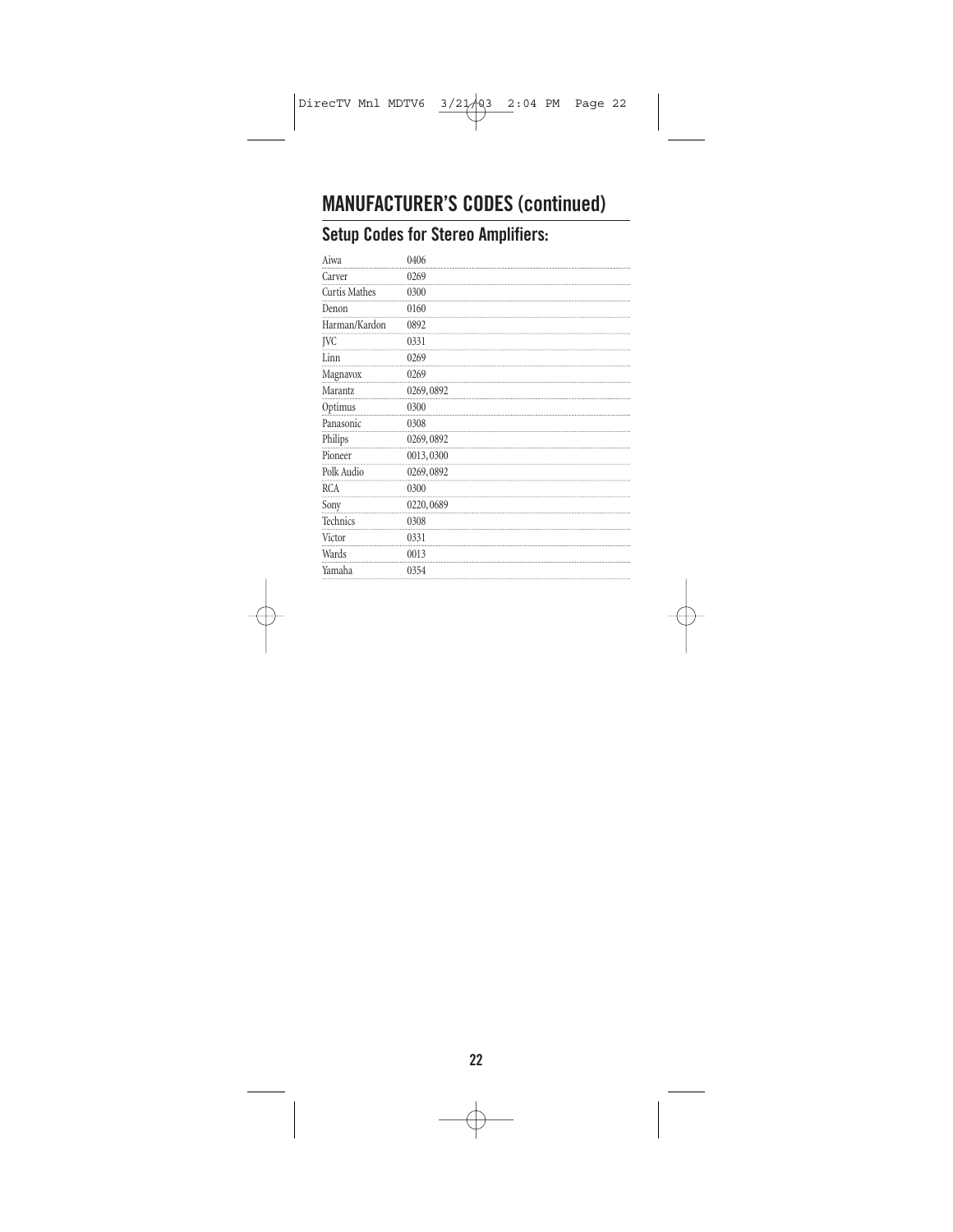## **MANUFACTURER'S CODES (continued)**

### **Setup Codes for Stereo Amplifiers:**

| 0406      |
|-----------|
| 0269      |
| 0300      |
| 0160      |
| 0892      |
| 0331      |
| 0269      |
| 0269      |
| 0269,0892 |
| 0300      |
| 0308      |
| 0269,0892 |
| 0013,0300 |
| 0269,0892 |
| 0300      |
| 0220,0689 |
| 0308      |
| 0331      |
| 0013      |
| 0354      |
|           |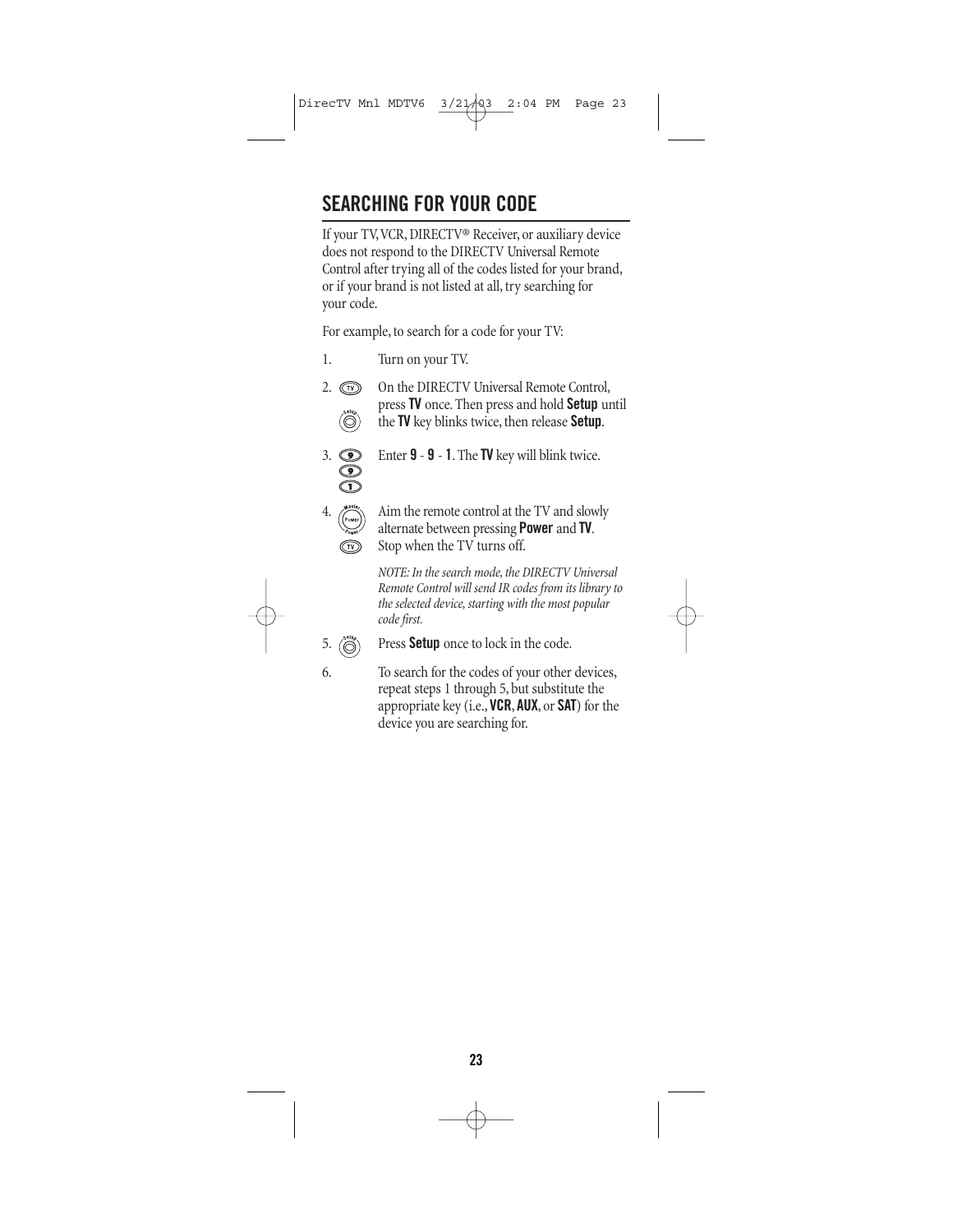# **SEARCHING FOR YOUR CODE**

If your TV,VCR, DIRECTV® Receiver, or auxiliary device does not respond to the DIRECTV Universal Remote Control after trying all of the codes listed for your brand, or if your brand is not listed at all, try searching for your code.

For example, to search for a code for your TV:

- 1. Turn on your TV.
	- $\hat{(\mathbb{O})}$

2.  $\circled{r}$  On the DIRECTV Universal Remote Control, press **TV** once. Then press and hold **Setup** until the **TV** key blinks twice, then release **Setup**.



3. Enter **9** - **9** - **1**. The **TV** key will blink twice.



Aim the remote control at the TV and slowly alternate between pressing **Power** and **TV**. Stop when the TV turns off.

*NOTE: In the search mode, the DIRECTV Universal Remote Control will send IR codes from its library to the selected device, starting with the most popular code first.*

- 5. Press **Setup** once to lock in the code.
- 

6. To search for the codes of your other devices, repeat steps 1 through 5, but substitute the appropriate key (i.e., **VCR**, **AUX**, or **SAT**) for the device you are searching for.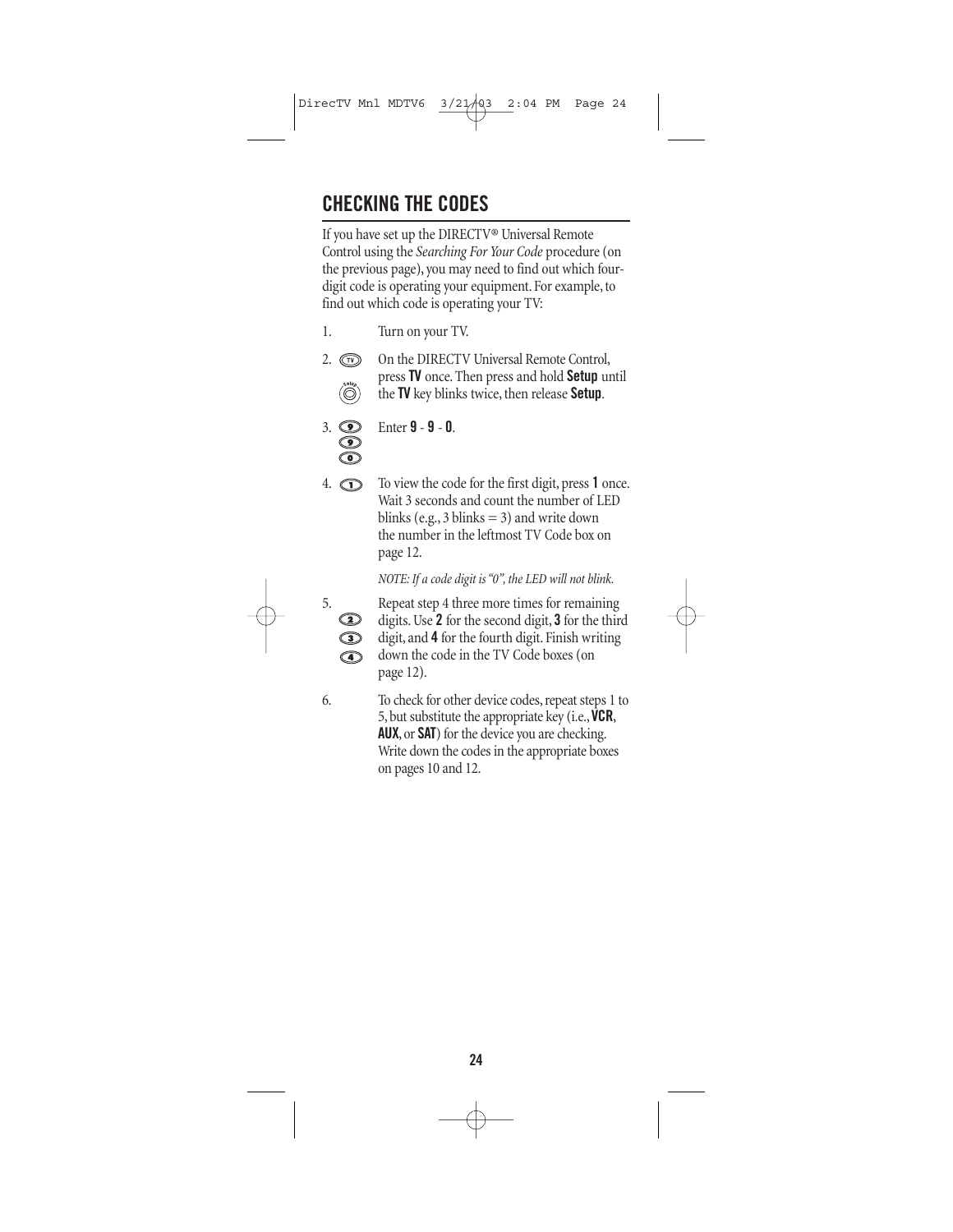# **CHECKING THE CODES**

If you have set up the DIRECTV® Universal Remote Control using the *Searching For Your Code* procedure (on the previous page), you may need to find out which fourdigit code is operating your equipment. For example, to find out which code is operating your TV:

- 1. Turn on your TV.
- 2.  $\circled{r}$  On the DIRECTV Universal Remote Control, press **TV** once. Then press and hold **Setup** until  $\ddot{\textcircled{}}$ the **TV** key blinks twice, then release **Setup**.
- 3. Enter **9 9 0**.

4. To view the code for the first digit, press **1** once. Wait 3 seconds and count the number of LED blinks (e.g., 3 blinks  $=$  3) and write down the number in the leftmost TV Code box on page 12.

*NOTE: If a code digit is "0", the LED will not blink.*



5. Repeat step 4 three more times for remaining digits. Use **2** for the second digit, **3** for the third digit, and **4** for the fourth digit. Finish writing down the code in the TV Code boxes (on page 12).

6. To check for other device codes, repeat steps 1 to 5, but substitute the appropriate key (i.e.,**VCR**, **AUX**, or **SAT**) for the device you are checking. Write down the codes in the appropriate boxes on pages 10 and 12.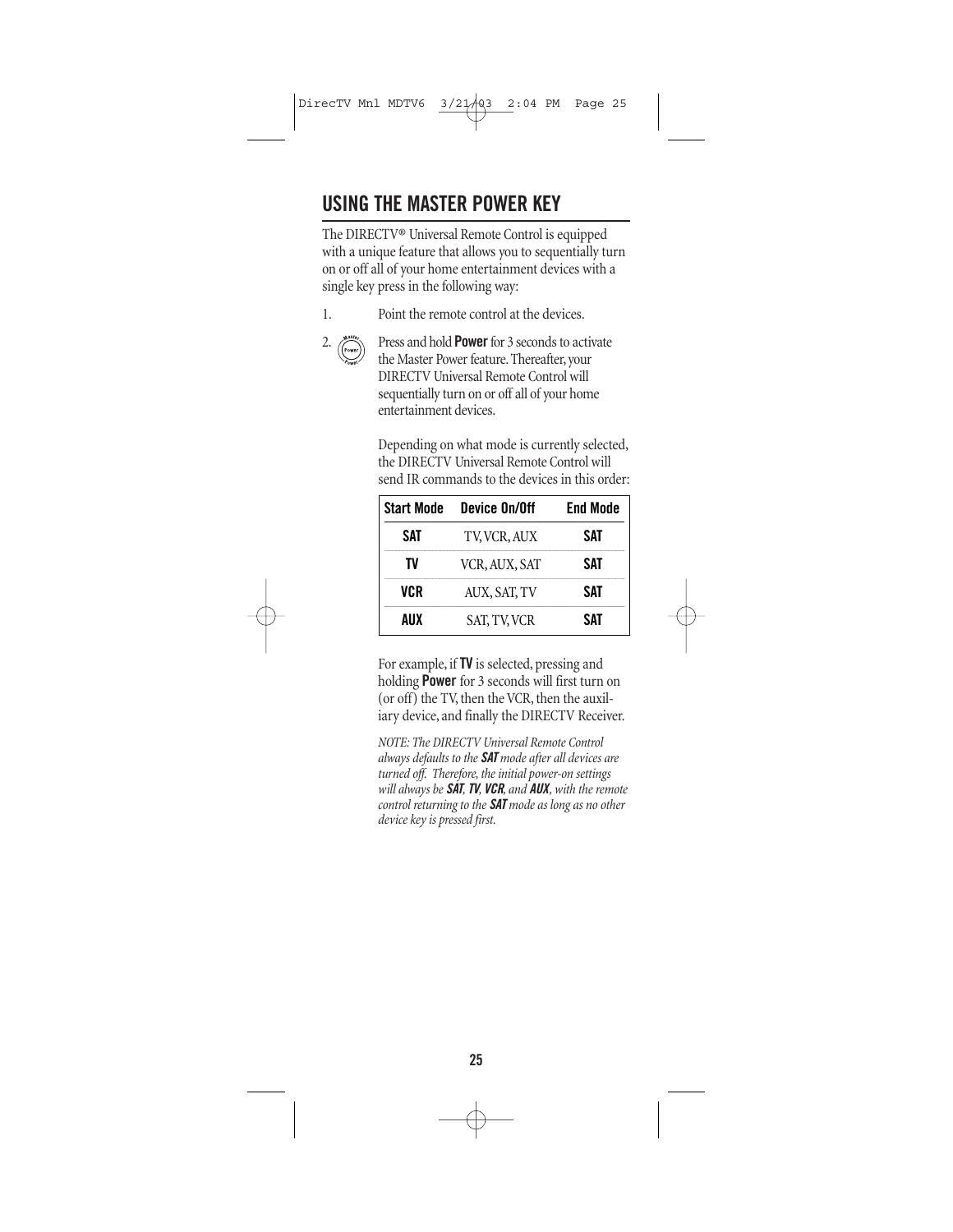# **USING THE MASTER POWER KEY**

The DIRECTV® Universal Remote Control is equipped with a unique feature that allows you to sequentially turn on or off all of your home entertainment devices with a single key press in the following way:

- 
- 1. Point the remote control at the devices.



2. Press and hold **Power**for 3 seconds to activate the Master Power feature. Thereafter, your DIRECTV Universal Remote Control will sequentially turn on or off all of your home entertainment devices.

> Depending on what mode is currently selected, the DIRECTV Universal Remote Control will send IR commands to the devices in this order:

| <b>Start Mode</b> | Device On/Off       | <b>End Mode</b> |
|-------------------|---------------------|-----------------|
| SAT               | TV, VCR, AUX        | SAT             |
| TV                | VCR, AUX, SAT       | SAT             |
| VCR               | AUX, SAT, TV        | SAT             |
| AUX               | <b>SAT, TV, VCR</b> | SAT             |

For example, if **TV** is selected, pressing and holding **Power** for 3 seconds will first turn on (or off) the TV, then the VCR, then the auxiliary device, and finally the DIRECTV Receiver.

*NOTE: The DIRECTV Universal Remote Control always defaults to the SAT mode after all devices are turned off. Therefore, the initial power-on settings will always be SAT,TV, VCR, and AUX, with the remote control returning to the SAT mode as long as no other device key is pressed first.*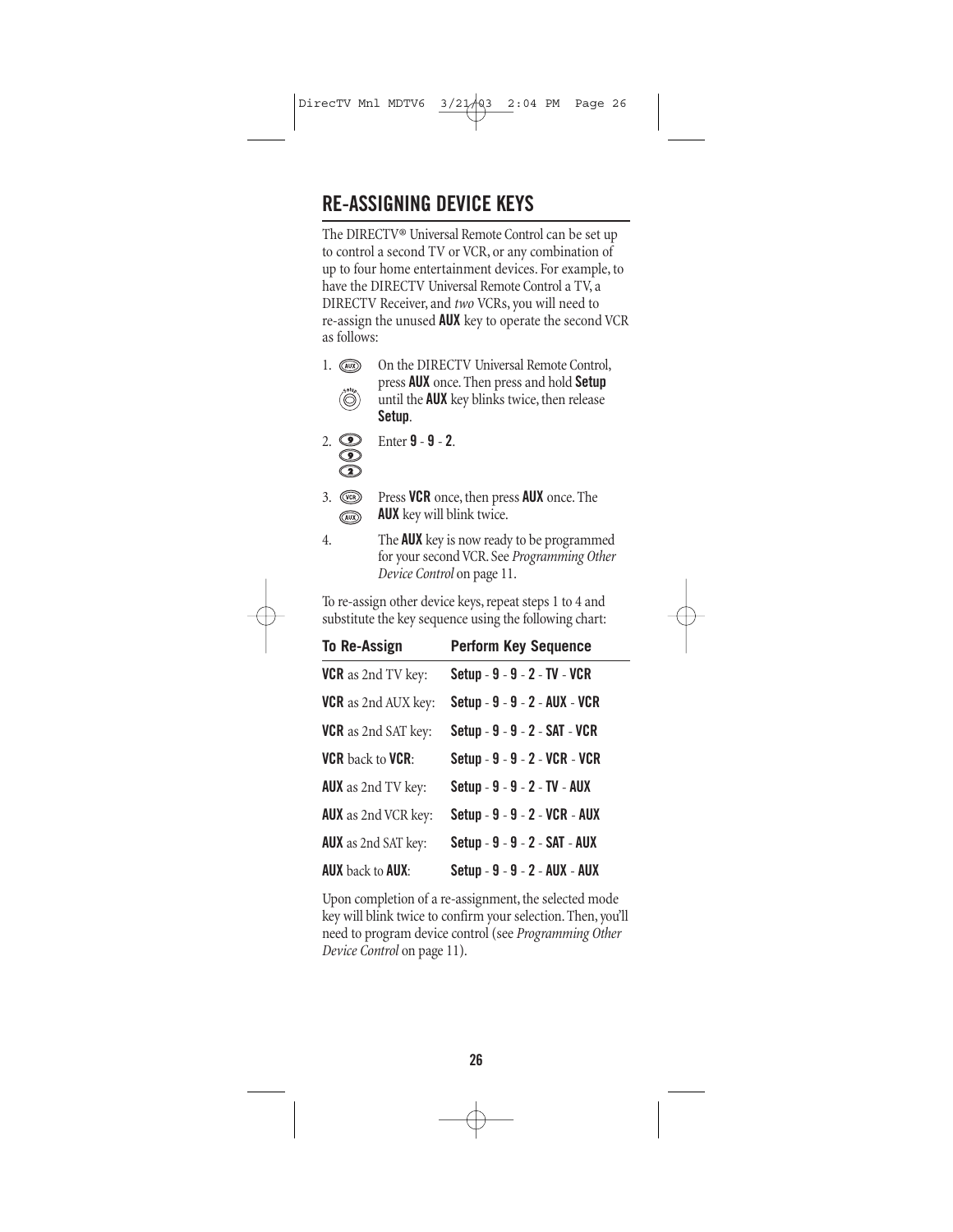# **RE-ASSIGNING DEVICE KEYS**

The DIRECTV® Universal Remote Control can be set up to control a second TV or VCR, or any combination of up to four home entertainment devices. For example, to have the DIRECTV Universal Remote Control a TV, a DIRECTV Receiver, and *two* VCRs, you will need to re-assign the unused **AUX** key to operate the second VCR as follows:

- 1. **(a)** On the DIRECTV Universal Remote Control, press **AUX** once. Then press and hold **Setup**   $\binom{\text{set}_y}{\text{set}_y}$ until the **AUX** key blinks twice, then release **Setup**.
- - 2. Enter **9 9 2**.
- 3. Press **VCR** once, then press **AUX** once. The **AUX** key will blink twice.  $\textcircled{AUX}$
- 4. The **AUX** key is now ready to be programmed for your second VCR. See *Programming Other Device Control* on page 11.

To re-assign other device keys, repeat steps 1 to 4 and substitute the key sequence using the following chart:

| <b>To Re-Assign</b>             | <b>Perform Key Sequence</b>   |
|---------------------------------|-------------------------------|
| <b>VCR</b> as 2nd TV key:       | Setup - 9 - 9 - 2 - TV - VCR  |
| <b>VCR</b> as 2nd AUX key:      | Setup - 9 - 9 - 2 - AUX - VCR |
| <b>VCR</b> as 2nd SAT key:      | Setup - 9 - 9 - 2 - SAT - VCR |
| <b>VCR</b> back to <b>VCR</b> : | Setup - 9 - 9 - 2 - VCR - VCR |
| <b>AUX</b> as 2nd TV key:       | Setup - 9 - 9 - 2 - TV - AUX  |
| <b>AUX</b> as 2nd VCR key:      | Setup - 9 - 9 - 2 - VCR - AUX |
| <b>AUX</b> as 2nd SAT key:      | Setup - 9 - 9 - 2 - SAT - AUX |
| <b>AUX</b> back to <b>AUX</b> : | Setup - 9 - 9 - 2 - AUX - AUX |

Upon completion of a re-assignment, the selected mode key will blink twice to confirm your selection. Then, you'll need to program device control (see *Programming Other Device Control* on page 11).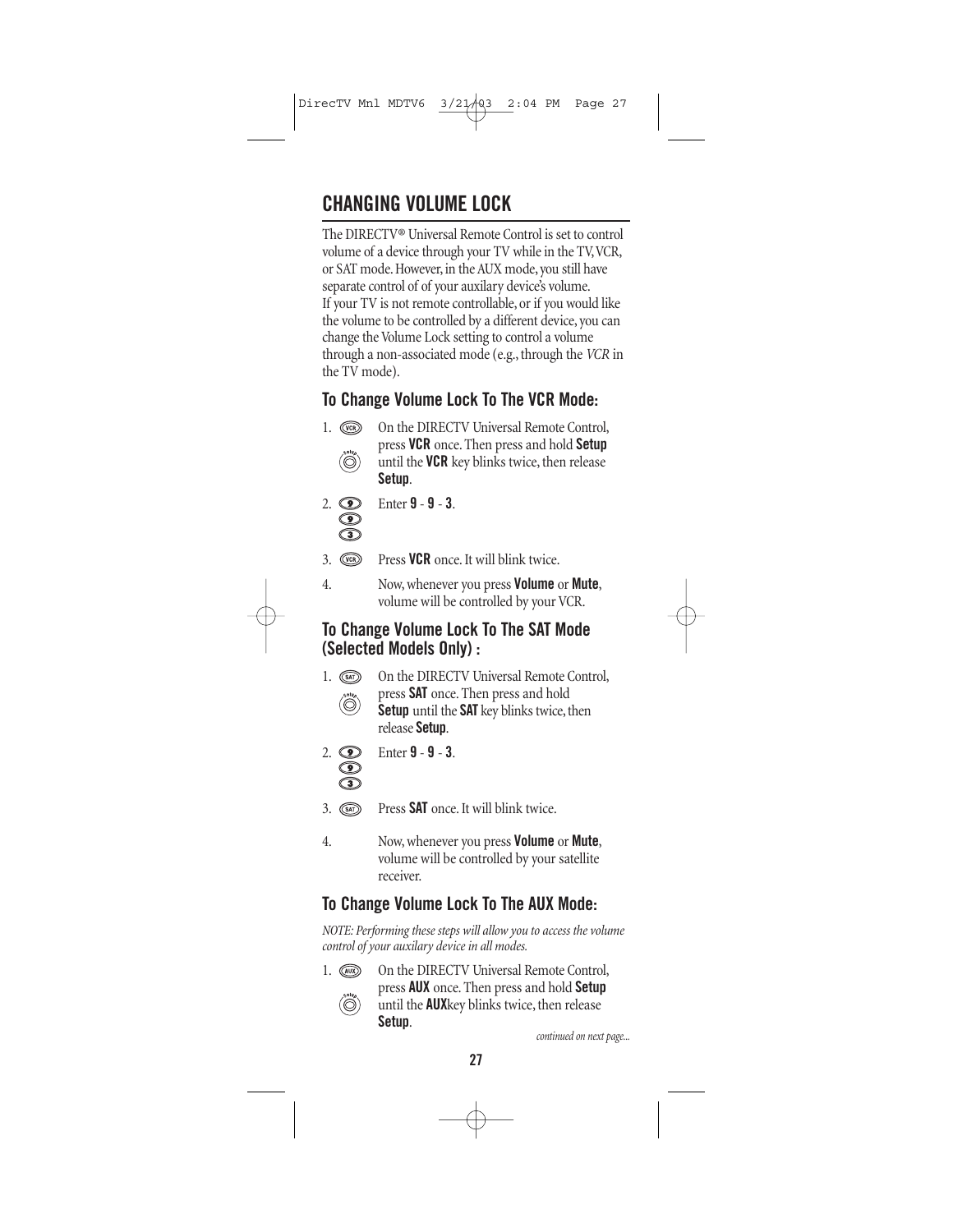# **CHANGING VOLUME LOCK**

The DIRECTV® Universal Remote Control is set to control volume of a device through your TV while in the TV,VCR, or SAT mode. However, in the AUX mode, you still have separate control of of your auxilary device's volume. If your TV is not remote controllable, or if you would like the volume to be controlled by a different device, you can change the Volume Lock setting to control a volume through a non-associated mode (e.g., through the *VCR* in the TV mode).

### **To Change Volume Lock To The VCR Mode:**

- 1. Con the DIRECTV Universal Remote Control, press **VCR** once. Then press and hold **Setup**   $\dddot{\odot}$ until the **VCR** key blinks twice, then release **Setup**.
- 2. Enter **9 9 3**.
- 3. Press **VCR** once. It will blink twice.
- 4. Now, whenever you press **Volume** or **Mute**, volume will be controlled by your VCR.

#### **To Change Volume Lock To The SAT Mode (Selected Models Only) :**

1. (SAT) On the DIRECTV Universal Remote Control, press **SAT** once. Then press and hold  $\dddot{\odot}$ **Setup** until the **SAT** key blinks twice, then release **Setup**.



2. Enter **9** - **9** - **3**.

- 3. Press **SAT** once. It will blink twice.
- 4. Now, whenever you press **Volume** or **Mute**, volume will be controlled by your satellite receiver.

#### **To Change Volume Lock To The AUX Mode:**

*NOTE: Performing these steps will allow you to access the volume control of your auxilary device in all modes.*

1. (a) On the DIRECTV Universal Remote Control, press **AUX** once. Then press and hold **Setup**  until the **AUX**key blinks twice, then release **Setup**.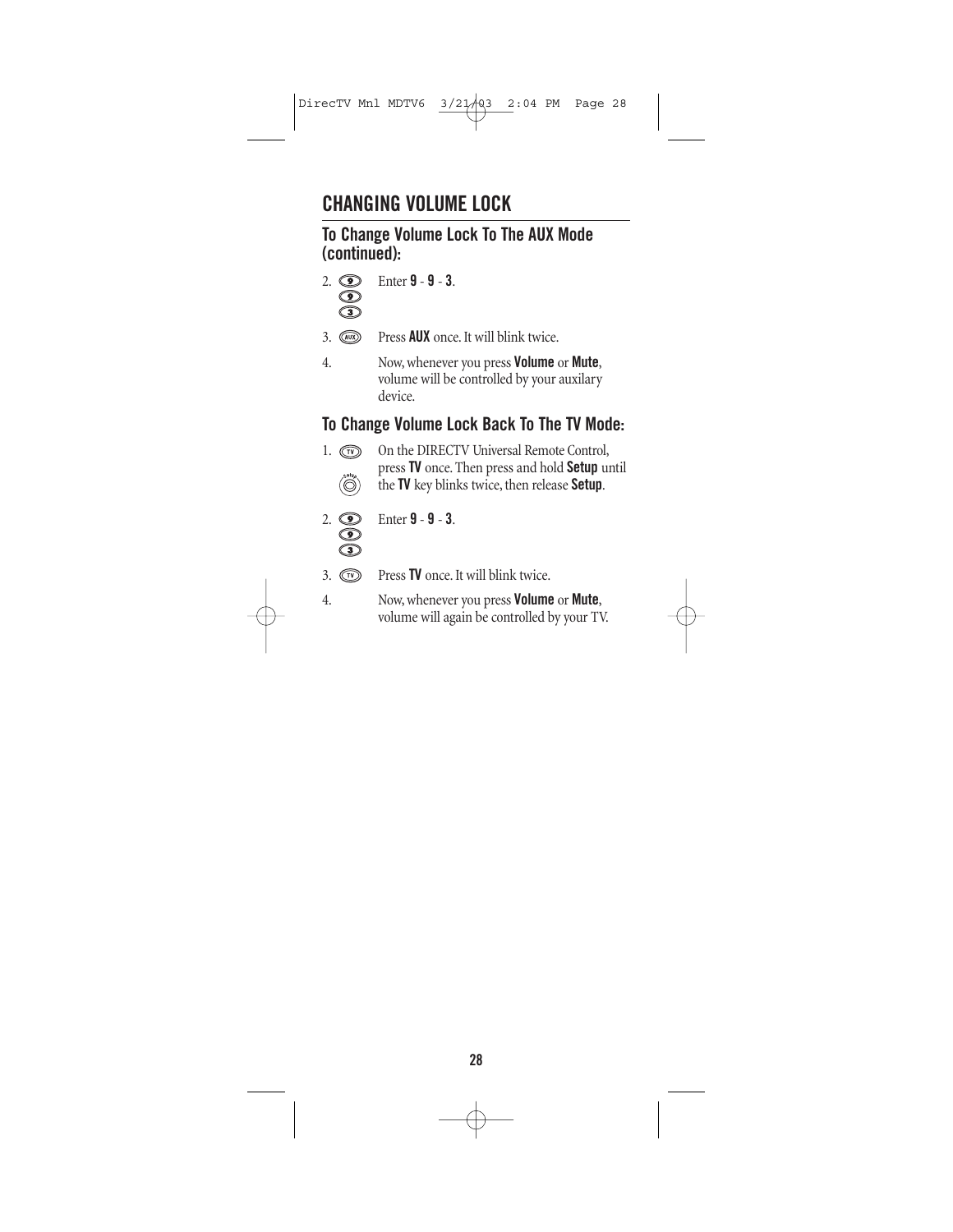# **CHANGING VOLUME LOCK**

#### **To Change Volume Lock To The AUX Mode (continued):**



2. Enter **9** - **9** - **3**.

- 3. Press **AUX** once. It will blink twice.
- 4. Now, whenever you press **Volume** or **Mute**, volume will be controlled by your auxilary device.

#### **To Change Volume Lock Back To The TV Mode:**

1.  $\circled{r}$  On the DIRECTV Universal Remote Control, press **TV** once. Then press and hold **Setup** until  $\ddot{\textcircled{\circ}}$ the **TV** key blinks twice, then release **Setup**.



2. Enter **9** - **9** - **3**.

- 3. Press **TV** once. It will blink twice.
- 4. Now, whenever you press **Volume** or **Mute**, volume will again be controlled by your TV.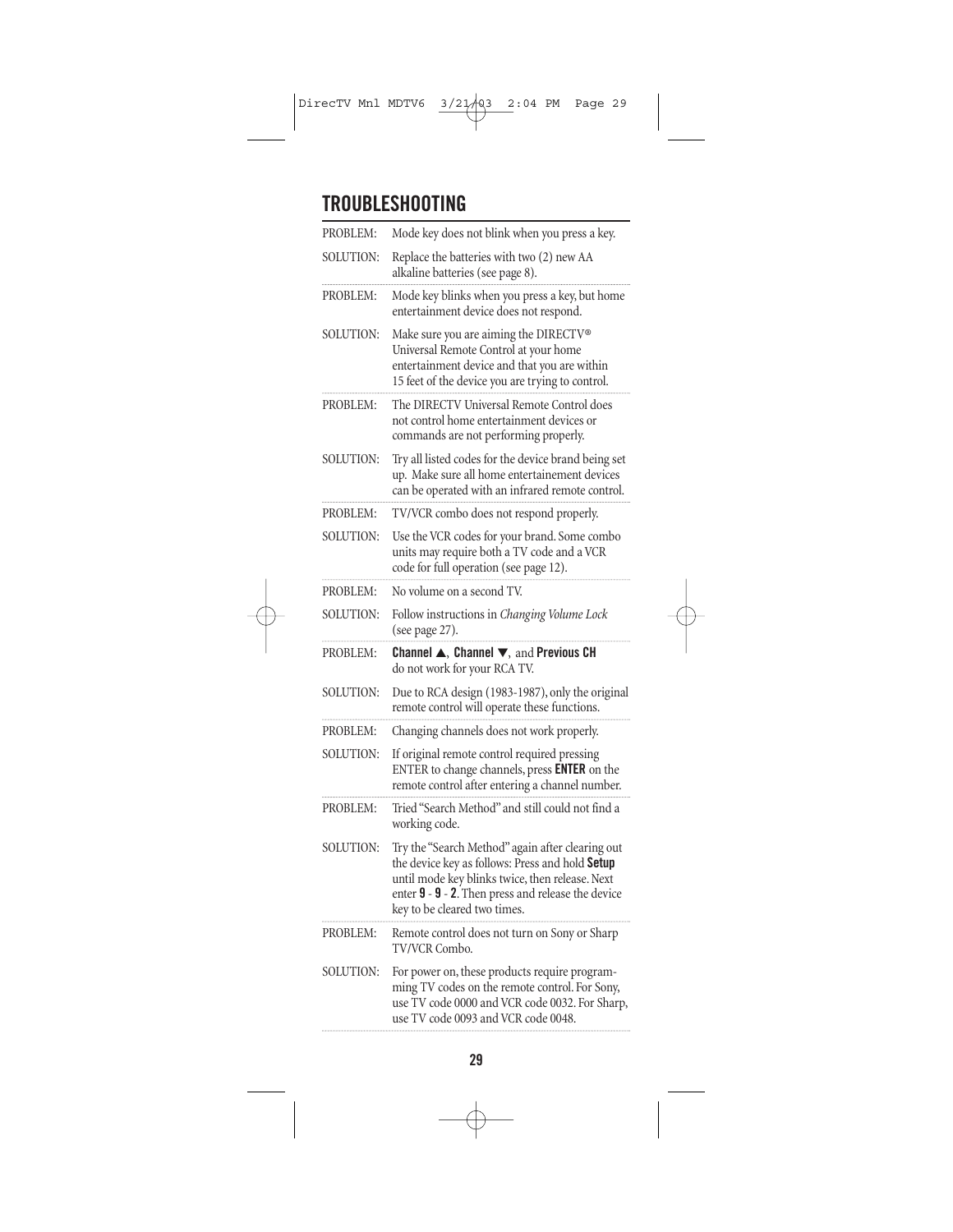# **TROUBLESHOOTING**

| PROBLEM:  | Mode key does not blink when you press a key.                                                                                                                                                                                                |
|-----------|----------------------------------------------------------------------------------------------------------------------------------------------------------------------------------------------------------------------------------------------|
| SOLUTION: | Replace the batteries with two (2) new AA<br>alkaline batteries (see page 8).                                                                                                                                                                |
| PROBLEM:  | Mode key blinks when you press a key, but home<br>entertainment device does not respond.                                                                                                                                                     |
| SOLUTION: | Make sure you are aiming the DIRECTV®<br>Universal Remote Control at your home<br>entertainment device and that you are within<br>15 feet of the device you are trying to control.                                                           |
| PROBLEM:  | The DIRECTV Universal Remote Control does<br>not control home entertainment devices or<br>commands are not performing properly.                                                                                                              |
| SOLUTION: | Try all listed codes for the device brand being set<br>up. Make sure all home entertainement devices<br>can be operated with an infrared remote control.                                                                                     |
| PROBLEM:  | TV/VCR combo does not respond properly.                                                                                                                                                                                                      |
| SOLUTION: | Use the VCR codes for your brand. Some combo<br>units may require both a TV code and a VCR<br>code for full operation (see page 12).                                                                                                         |
| PROBLEM:  | No volume on a second TV.                                                                                                                                                                                                                    |
| SOLUTION: | Follow instructions in Changing Volume Lock<br>(see page 27).                                                                                                                                                                                |
| PROBLEM:  | Channel A, Channel V, and Previous CH<br>do not work for your RCA TV.                                                                                                                                                                        |
| SOLUTION: | Due to RCA design (1983-1987), only the original<br>remote control will operate these functions.                                                                                                                                             |
| PROBLEM:  | Changing channels does not work properly.                                                                                                                                                                                                    |
| SOLUTION: | If original remote control required pressing<br>ENTER to change channels, press <b>ENTER</b> on the<br>remote control after entering a channel number.                                                                                       |
| PROBLEM:  | Tried "Search Method" and still could not find a<br>working code.                                                                                                                                                                            |
| SOLUTION: | Try the "Search Method" again after clearing out<br>the device key as follows: Press and hold Setup<br>until mode key blinks twice, then release. Next<br>enter 9 - 9 - 2. Then press and release the device<br>key to be cleared two times. |
| PROBLEM:  | Remote control does not turn on Sony or Sharp<br><b>TV/VCR Combo.</b>                                                                                                                                                                        |
| SOLUTION: | For power on, these products require program-<br>ming TV codes on the remote control. For Sony,<br>use TV code 0000 and VCR code 0032. For Sharp,<br>use TV code 0093 and VCR code 0048.                                                     |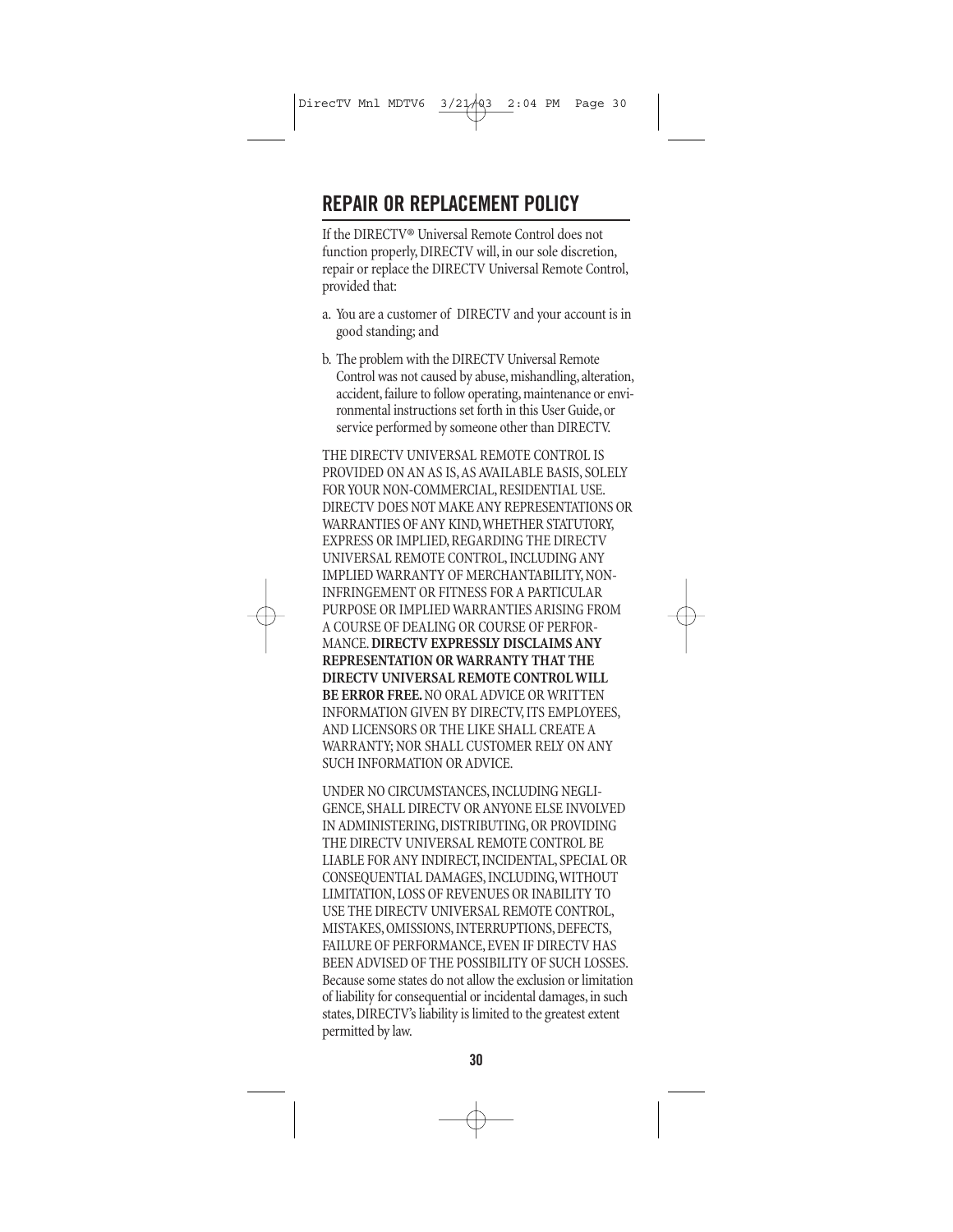### **REPAIR OR REPLACEMENT POLICY**

If the DIRECTV® Universal Remote Control does not function properly, DIRECTV will, in our sole discretion, repair or replace the DIRECTV Universal Remote Control, provided that:

- a. You are a customer of DIRECTV and your account is in good standing; and
- b. The problem with the DIRECTV Universal Remote Control was not caused by abuse, mishandling, alteration, accident, failure to follow operating, maintenance or environmental instructions set forth in this User Guide, or service performed by someone other than DIRECTV.

THE DIRECTV UNIVERSAL REMOTE CONTROL IS PROVIDED ON AN AS IS,AS AVAILABLE BASIS, SOLELY FOR YOUR NON-COMMERCIAL, RESIDENTIAL USE. DIRECTV DOES NOT MAKE ANY REPRESENTATIONS OR WARRANTIES OF ANY KIND,WHETHER STATUTORY, EXPRESS OR IMPLIED, REGARDING THE DIRECTV UNIVERSAL REMOTE CONTROL, INCLUDING ANY IMPLIED WARRANTY OF MERCHANTABILITY, NON-INFRINGEMENT OR FITNESS FOR A PARTICULAR PURPOSE OR IMPLIED WARRANTIES ARISING FROM A COURSE OF DEALING OR COURSE OF PERFOR-MANCE.**DIRECTV EXPRESSLY DISCLAIMS ANY REPRESENTATION OR WARRANTY THAT THE DIRECTV UNIVERSAL REMOTE CONTROL WILL BE ERROR FREE.**NO ORAL ADVICE OR WRITTEN INFORMATION GIVEN BY DIRECTV, ITS EMPLOYEES, AND LICENSORS OR THE LIKE SHALL CREATE A WARRANTY; NOR SHALL CUSTOMER RELY ON ANY SUCH INFORMATION OR ADVICE.

UNDER NO CIRCUMSTANCES, INCLUDING NEGLI-GENCE, SHALL DIRECTV OR ANYONE ELSE INVOLVED IN ADMINISTERING, DISTRIBUTING, OR PROVIDING THE DIRECTV UNIVERSAL REMOTE CONTROL BE LIABLE FOR ANY INDIRECT, INCIDENTAL, SPECIAL OR CONSEQUENTIAL DAMAGES, INCLUDING,WITHOUT LIMITATION, LOSS OF REVENUES OR INABILITY TO USE THE DIRECTV UNIVERSAL REMOTE CONTROL, MISTAKES, OMISSIONS, INTERRUPTIONS, DEFECTS, FAILURE OF PERFORMANCE, EVEN IF DIRECTV HAS BEEN ADVISED OF THE POSSIBILITY OF SUCH LOSSES. Because some states do not allow the exclusion or limitation of liability for consequential or incidental damages, in such states, DIRECTV's liability is limited to the greatest extent permitted by law.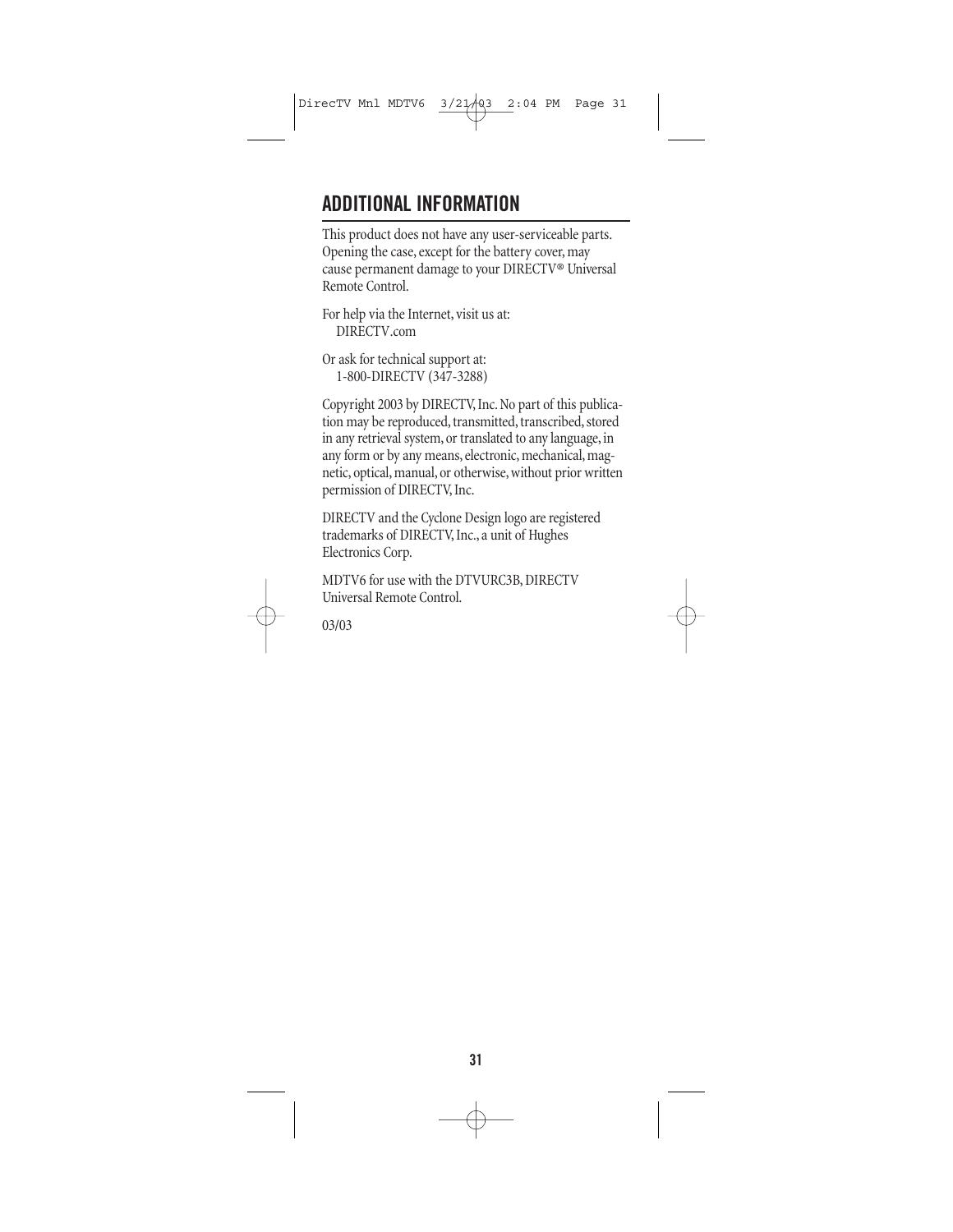### **ADDITIONAL INFORMATION**

This product does not have any user-serviceable parts. Opening the case, except for the battery cover, may cause permanent damage to your DIRECTV® Universal Remote Control.

For help via the Internet, visit us at: DIRECTV.com

Or ask for technical support at: 1-800-DIRECTV (347-3288)

Copyright 2003 by DIRECTV, Inc. No part of this publication may be reproduced, transmitted, transcribed, stored in any retrieval system, or translated to any language, in any form or by any means, electronic, mechanical, magnetic, optical, manual, or otherwise, without prior written permission of DIRECTV, Inc.

DIRECTV and the Cyclone Design logo are registered trademarks of DIRECTV, Inc., a unit of Hughes Electronics Corp.

MDTV6 for use with the DTVURC3B, DIRECTV Universal Remote Control.

03/03